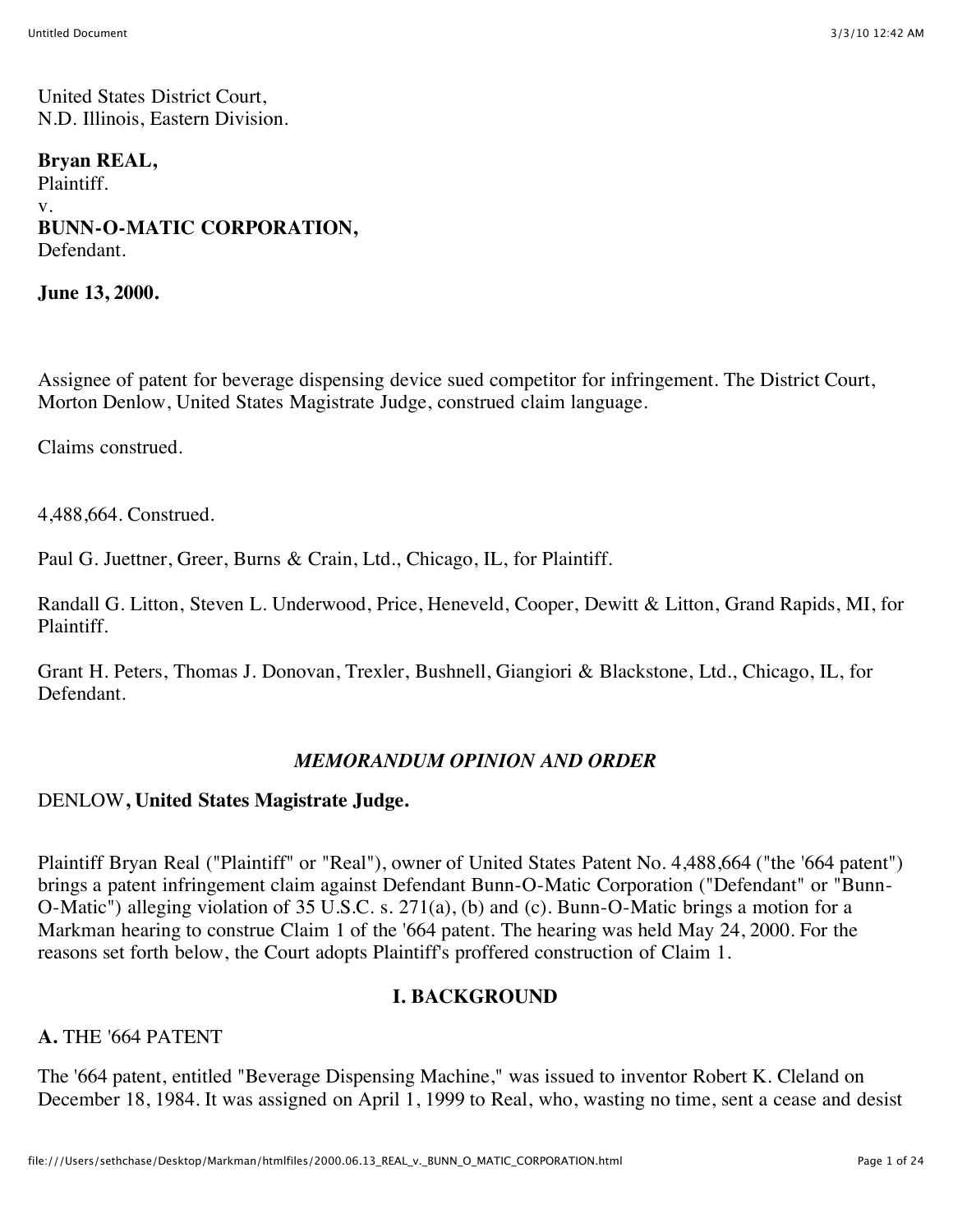United States District Court, N.D. Illinois, Eastern Division.

**Bryan REAL,** Plaintiff. v. **BUNN-O-MATIC CORPORATION,** Defendant.

**June 13, 2000.**

Assignee of patent for beverage dispensing device sued competitor for infringement. The District Court, Morton Denlow, United States Magistrate Judge, construed claim language.

Claims construed.

4,488,664. Construed.

Paul G. Juettner, Greer, Burns & Crain, Ltd., Chicago, IL, for Plaintiff.

Randall G. Litton, Steven L. Underwood, Price, Heneveld, Cooper, Dewitt & Litton, Grand Rapids, MI, for Plaintiff.

Grant H. Peters, Thomas J. Donovan, Trexler, Bushnell, Giangiori & Blackstone, Ltd., Chicago, IL, for Defendant.

#### *MEMORANDUM OPINION AND ORDER*

#### DENLOW**, United States Magistrate Judge.**

Plaintiff Bryan Real ("Plaintiff" or "Real"), owner of United States Patent No. 4,488,664 ("the '664 patent") brings a patent infringement claim against Defendant Bunn-O-Matic Corporation ("Defendant" or "Bunn-O-Matic") alleging violation of 35 U.S.C. s. 271(a), (b) and (c). Bunn-O-Matic brings a motion for a Markman hearing to construe Claim 1 of the '664 patent. The hearing was held May 24, 2000. For the reasons set forth below, the Court adopts Plaintiff's proffered construction of Claim 1.

#### **I. BACKGROUND**

**A.** THE '664 PATENT

The '664 patent, entitled "Beverage Dispensing Machine," was issued to inventor Robert K. Cleland on December 18, 1984. It was assigned on April 1, 1999 to Real, who, wasting no time, sent a cease and desist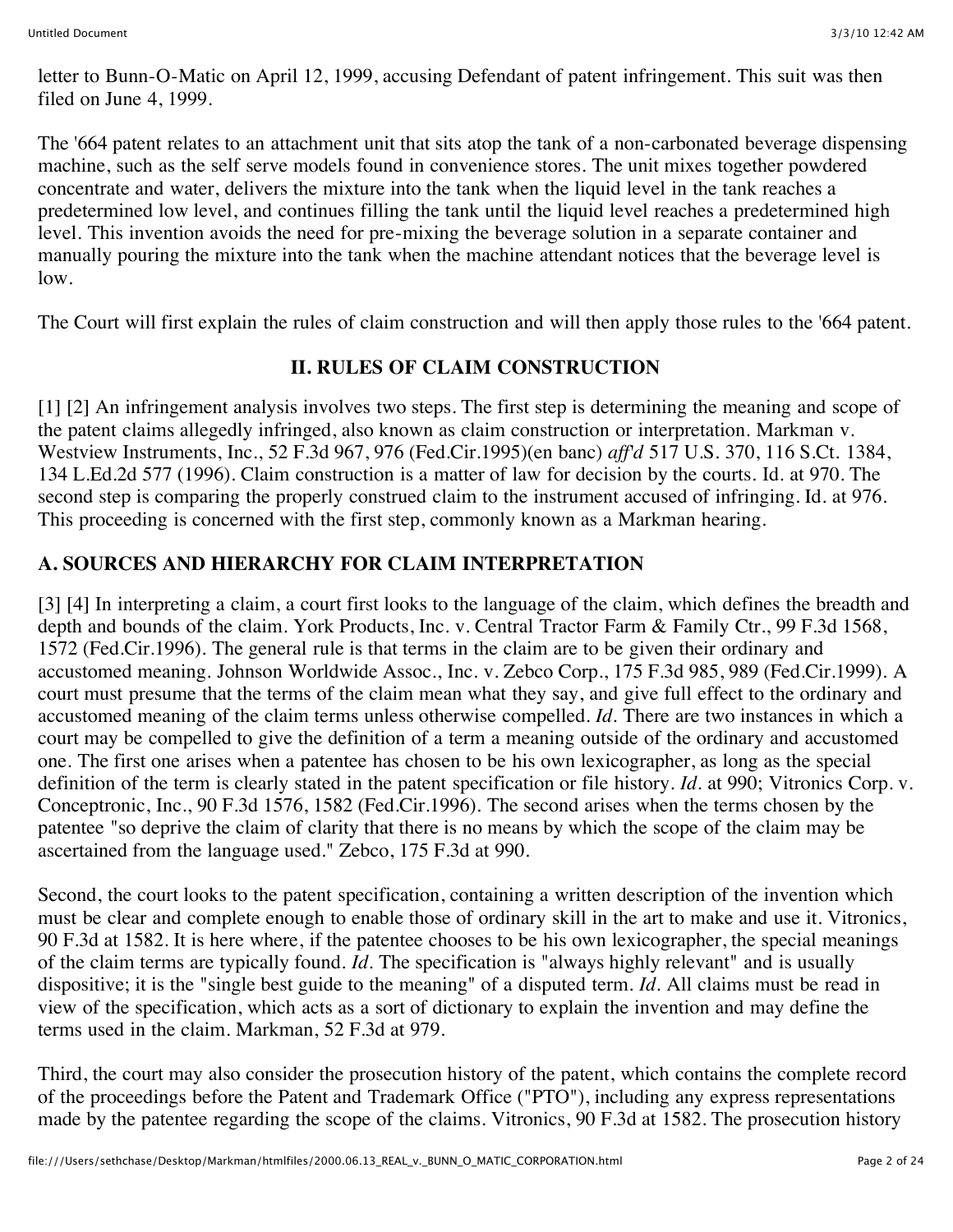letter to Bunn-O-Matic on April 12, 1999, accusing Defendant of patent infringement. This suit was then filed on June 4, 1999.

The '664 patent relates to an attachment unit that sits atop the tank of a non-carbonated beverage dispensing machine, such as the self serve models found in convenience stores. The unit mixes together powdered concentrate and water, delivers the mixture into the tank when the liquid level in the tank reaches a predetermined low level, and continues filling the tank until the liquid level reaches a predetermined high level. This invention avoids the need for pre-mixing the beverage solution in a separate container and manually pouring the mixture into the tank when the machine attendant notices that the beverage level is low.

The Court will first explain the rules of claim construction and will then apply those rules to the '664 patent.

# **II. RULES OF CLAIM CONSTRUCTION**

[1] [2] An infringement analysis involves two steps. The first step is determining the meaning and scope of the patent claims allegedly infringed, also known as claim construction or interpretation. Markman v. Westview Instruments, Inc., 52 F.3d 967, 976 (Fed.Cir.1995)(en banc) *aff'd* 517 U.S. 370, 116 S.Ct. 1384, 134 L.Ed.2d 577 (1996). Claim construction is a matter of law for decision by the courts. Id. at 970. The second step is comparing the properly construed claim to the instrument accused of infringing. Id. at 976. This proceeding is concerned with the first step, commonly known as a Markman hearing.

# **A. SOURCES AND HIERARCHY FOR CLAIM INTERPRETATION**

[3] [4] In interpreting a claim, a court first looks to the language of the claim, which defines the breadth and depth and bounds of the claim. York Products, Inc. v. Central Tractor Farm & Family Ctr., 99 F.3d 1568, 1572 (Fed.Cir.1996). The general rule is that terms in the claim are to be given their ordinary and accustomed meaning. Johnson Worldwide Assoc., Inc. v. Zebco Corp., 175 F.3d 985, 989 (Fed.Cir.1999). A court must presume that the terms of the claim mean what they say, and give full effect to the ordinary and accustomed meaning of the claim terms unless otherwise compelled. *Id.* There are two instances in which a court may be compelled to give the definition of a term a meaning outside of the ordinary and accustomed one. The first one arises when a patentee has chosen to be his own lexicographer, as long as the special definition of the term is clearly stated in the patent specification or file history. *Id.* at 990; Vitronics Corp. v. Conceptronic, Inc., 90 F.3d 1576, 1582 (Fed.Cir.1996). The second arises when the terms chosen by the patentee "so deprive the claim of clarity that there is no means by which the scope of the claim may be ascertained from the language used." Zebco, 175 F.3d at 990.

Second, the court looks to the patent specification, containing a written description of the invention which must be clear and complete enough to enable those of ordinary skill in the art to make and use it. Vitronics, 90 F.3d at 1582. It is here where, if the patentee chooses to be his own lexicographer, the special meanings of the claim terms are typically found. *Id.* The specification is "always highly relevant" and is usually dispositive; it is the "single best guide to the meaning" of a disputed term. *Id.* All claims must be read in view of the specification, which acts as a sort of dictionary to explain the invention and may define the terms used in the claim. Markman, 52 F.3d at 979.

Third, the court may also consider the prosecution history of the patent, which contains the complete record of the proceedings before the Patent and Trademark Office ("PTO"), including any express representations made by the patentee regarding the scope of the claims. Vitronics, 90 F.3d at 1582. The prosecution history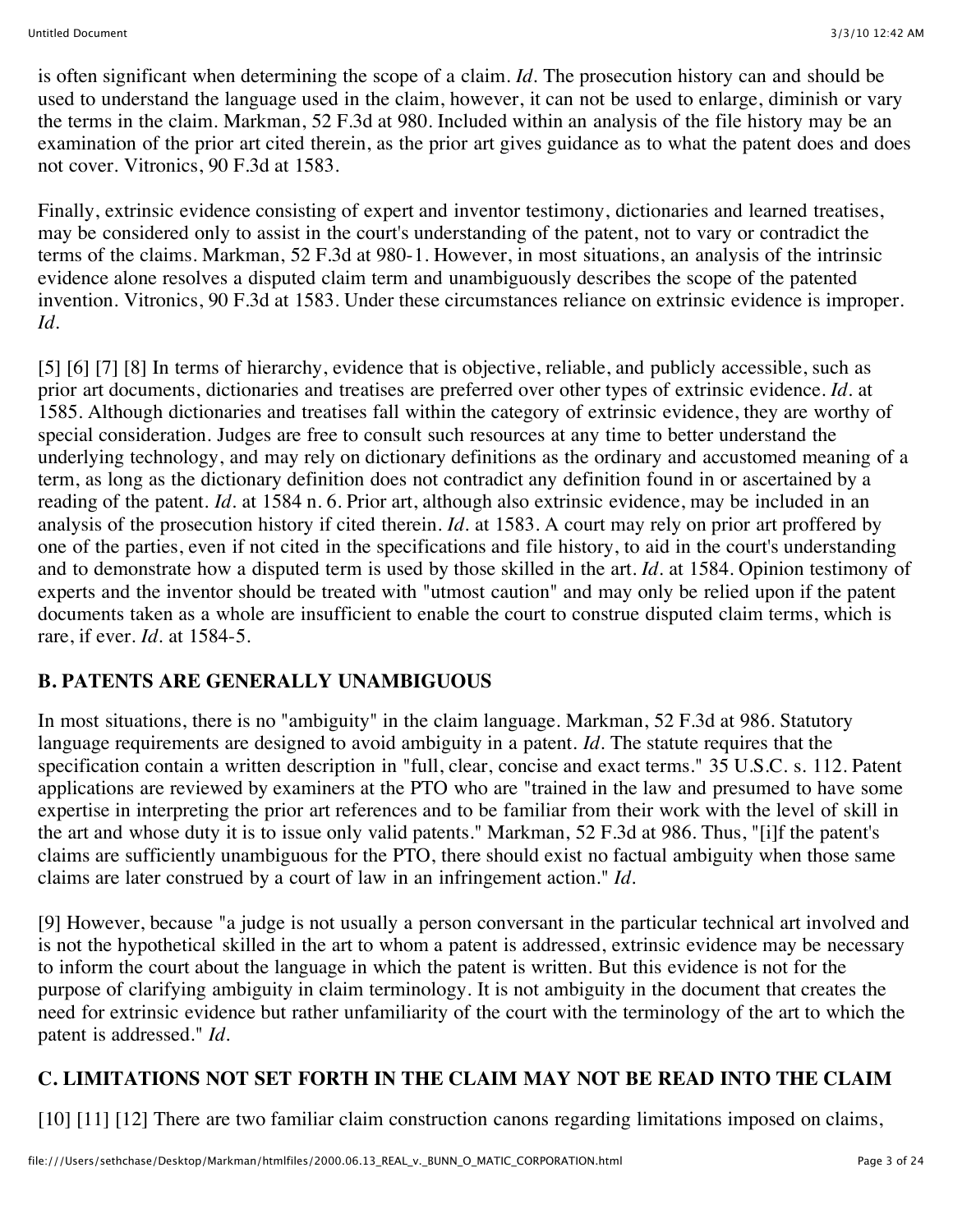is often significant when determining the scope of a claim. *Id.* The prosecution history can and should be used to understand the language used in the claim, however, it can not be used to enlarge, diminish or vary the terms in the claim. Markman, 52 F.3d at 980. Included within an analysis of the file history may be an examination of the prior art cited therein, as the prior art gives guidance as to what the patent does and does not cover. Vitronics, 90 F.3d at 1583.

Finally, extrinsic evidence consisting of expert and inventor testimony, dictionaries and learned treatises, may be considered only to assist in the court's understanding of the patent, not to vary or contradict the terms of the claims. Markman, 52 F.3d at 980-1. However, in most situations, an analysis of the intrinsic evidence alone resolves a disputed claim term and unambiguously describes the scope of the patented invention. Vitronics, 90 F.3d at 1583. Under these circumstances reliance on extrinsic evidence is improper. *Id.*

[5] [6] [7] [8] In terms of hierarchy, evidence that is objective, reliable, and publicly accessible, such as prior art documents, dictionaries and treatises are preferred over other types of extrinsic evidence. *Id.* at 1585. Although dictionaries and treatises fall within the category of extrinsic evidence, they are worthy of special consideration. Judges are free to consult such resources at any time to better understand the underlying technology, and may rely on dictionary definitions as the ordinary and accustomed meaning of a term, as long as the dictionary definition does not contradict any definition found in or ascertained by a reading of the patent. *Id.* at 1584 n. 6. Prior art, although also extrinsic evidence, may be included in an analysis of the prosecution history if cited therein. *Id.* at 1583. A court may rely on prior art proffered by one of the parties, even if not cited in the specifications and file history, to aid in the court's understanding and to demonstrate how a disputed term is used by those skilled in the art. *Id.* at 1584. Opinion testimony of experts and the inventor should be treated with "utmost caution" and may only be relied upon if the patent documents taken as a whole are insufficient to enable the court to construe disputed claim terms, which is rare, if ever. *Id.* at 1584-5.

# **B. PATENTS ARE GENERALLY UNAMBIGUOUS**

In most situations, there is no "ambiguity" in the claim language. Markman, 52 F.3d at 986. Statutory language requirements are designed to avoid ambiguity in a patent. *Id.* The statute requires that the specification contain a written description in "full, clear, concise and exact terms." 35 U.S.C. s. 112. Patent applications are reviewed by examiners at the PTO who are "trained in the law and presumed to have some expertise in interpreting the prior art references and to be familiar from their work with the level of skill in the art and whose duty it is to issue only valid patents." Markman, 52 F.3d at 986. Thus, "[i]f the patent's claims are sufficiently unambiguous for the PTO, there should exist no factual ambiguity when those same claims are later construed by a court of law in an infringement action." *Id.*

[9] However, because "a judge is not usually a person conversant in the particular technical art involved and is not the hypothetical skilled in the art to whom a patent is addressed, extrinsic evidence may be necessary to inform the court about the language in which the patent is written. But this evidence is not for the purpose of clarifying ambiguity in claim terminology. It is not ambiguity in the document that creates the need for extrinsic evidence but rather unfamiliarity of the court with the terminology of the art to which the patent is addressed." *Id.*

# **C. LIMITATIONS NOT SET FORTH IN THE CLAIM MAY NOT BE READ INTO THE CLAIM**

[10] [11] [12] There are two familiar claim construction canons regarding limitations imposed on claims,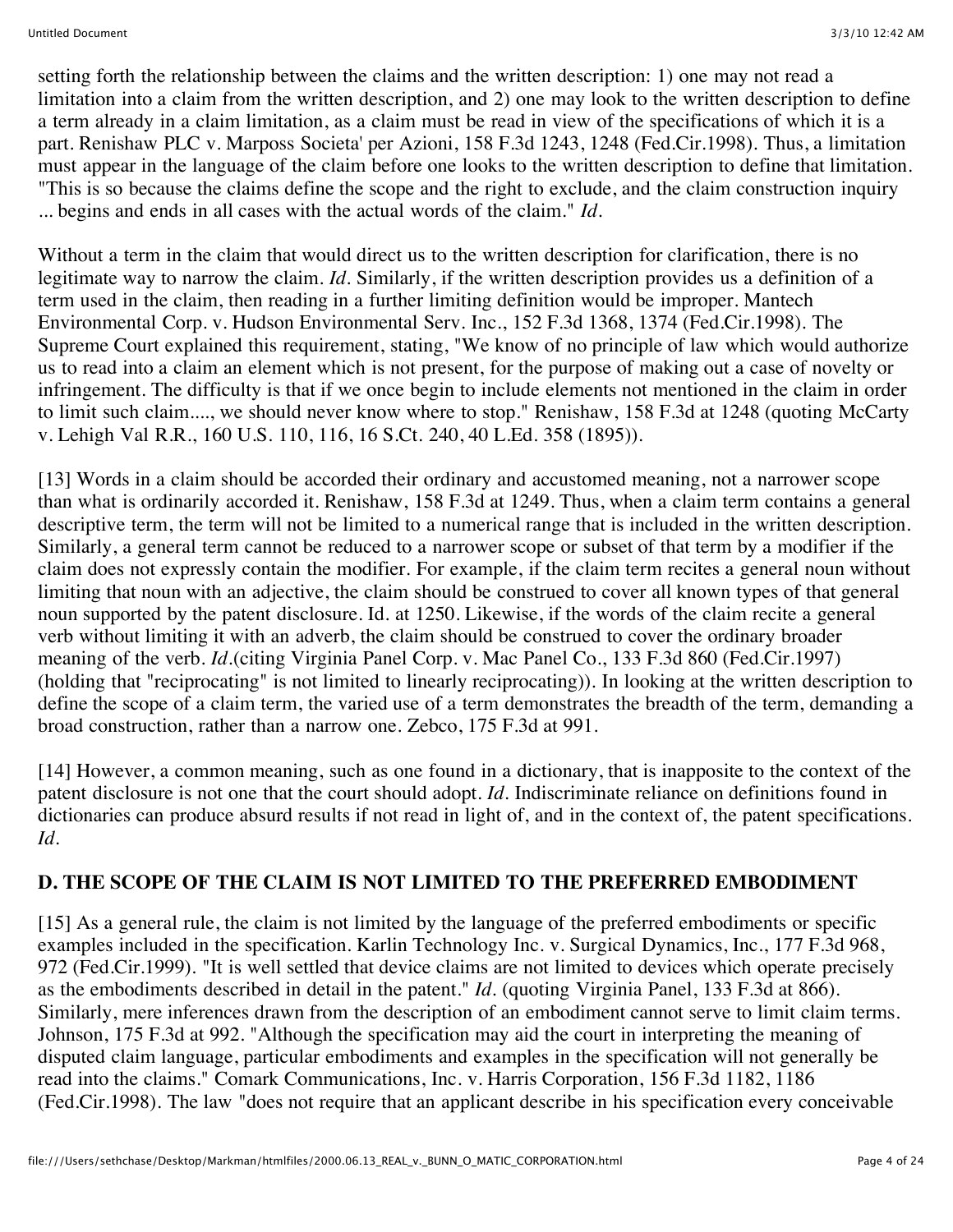setting forth the relationship between the claims and the written description: 1) one may not read a limitation into a claim from the written description, and 2) one may look to the written description to define a term already in a claim limitation, as a claim must be read in view of the specifications of which it is a part. Renishaw PLC v. Marposs Societa' per Azioni, 158 F.3d 1243, 1248 (Fed.Cir.1998). Thus, a limitation must appear in the language of the claim before one looks to the written description to define that limitation. "This is so because the claims define the scope and the right to exclude, and the claim construction inquiry ... begins and ends in all cases with the actual words of the claim." *Id.*

Without a term in the claim that would direct us to the written description for clarification, there is no legitimate way to narrow the claim. *Id.* Similarly, if the written description provides us a definition of a term used in the claim, then reading in a further limiting definition would be improper. Mantech Environmental Corp. v. Hudson Environmental Serv. Inc., 152 F.3d 1368, 1374 (Fed.Cir.1998). The Supreme Court explained this requirement, stating, "We know of no principle of law which would authorize us to read into a claim an element which is not present, for the purpose of making out a case of novelty or infringement. The difficulty is that if we once begin to include elements not mentioned in the claim in order to limit such claim...., we should never know where to stop." Renishaw, 158 F.3d at 1248 (quoting McCarty v. Lehigh Val R.R., 160 U.S. 110, 116, 16 S.Ct. 240, 40 L.Ed. 358 (1895)).

[13] Words in a claim should be accorded their ordinary and accustomed meaning, not a narrower scope than what is ordinarily accorded it. Renishaw, 158 F.3d at 1249. Thus, when a claim term contains a general descriptive term, the term will not be limited to a numerical range that is included in the written description. Similarly, a general term cannot be reduced to a narrower scope or subset of that term by a modifier if the claim does not expressly contain the modifier. For example, if the claim term recites a general noun without limiting that noun with an adjective, the claim should be construed to cover all known types of that general noun supported by the patent disclosure. Id. at 1250. Likewise, if the words of the claim recite a general verb without limiting it with an adverb, the claim should be construed to cover the ordinary broader meaning of the verb. *Id.*(citing Virginia Panel Corp. v. Mac Panel Co., 133 F.3d 860 (Fed.Cir.1997) (holding that "reciprocating" is not limited to linearly reciprocating)). In looking at the written description to define the scope of a claim term, the varied use of a term demonstrates the breadth of the term, demanding a broad construction, rather than a narrow one. Zebco, 175 F.3d at 991.

[14] However, a common meaning, such as one found in a dictionary, that is inapposite to the context of the patent disclosure is not one that the court should adopt. *Id.* Indiscriminate reliance on definitions found in dictionaries can produce absurd results if not read in light of, and in the context of, the patent specifications. *Id.*

## **D. THE SCOPE OF THE CLAIM IS NOT LIMITED TO THE PREFERRED EMBODIMENT**

[15] As a general rule, the claim is not limited by the language of the preferred embodiments or specific examples included in the specification. Karlin Technology Inc. v. Surgical Dynamics, Inc., 177 F.3d 968, 972 (Fed.Cir.1999). "It is well settled that device claims are not limited to devices which operate precisely as the embodiments described in detail in the patent." *Id.* (quoting Virginia Panel, 133 F.3d at 866). Similarly, mere inferences drawn from the description of an embodiment cannot serve to limit claim terms. Johnson, 175 F.3d at 992. "Although the specification may aid the court in interpreting the meaning of disputed claim language, particular embodiments and examples in the specification will not generally be read into the claims." Comark Communications, Inc. v. Harris Corporation, 156 F.3d 1182, 1186 (Fed.Cir.1998). The law "does not require that an applicant describe in his specification every conceivable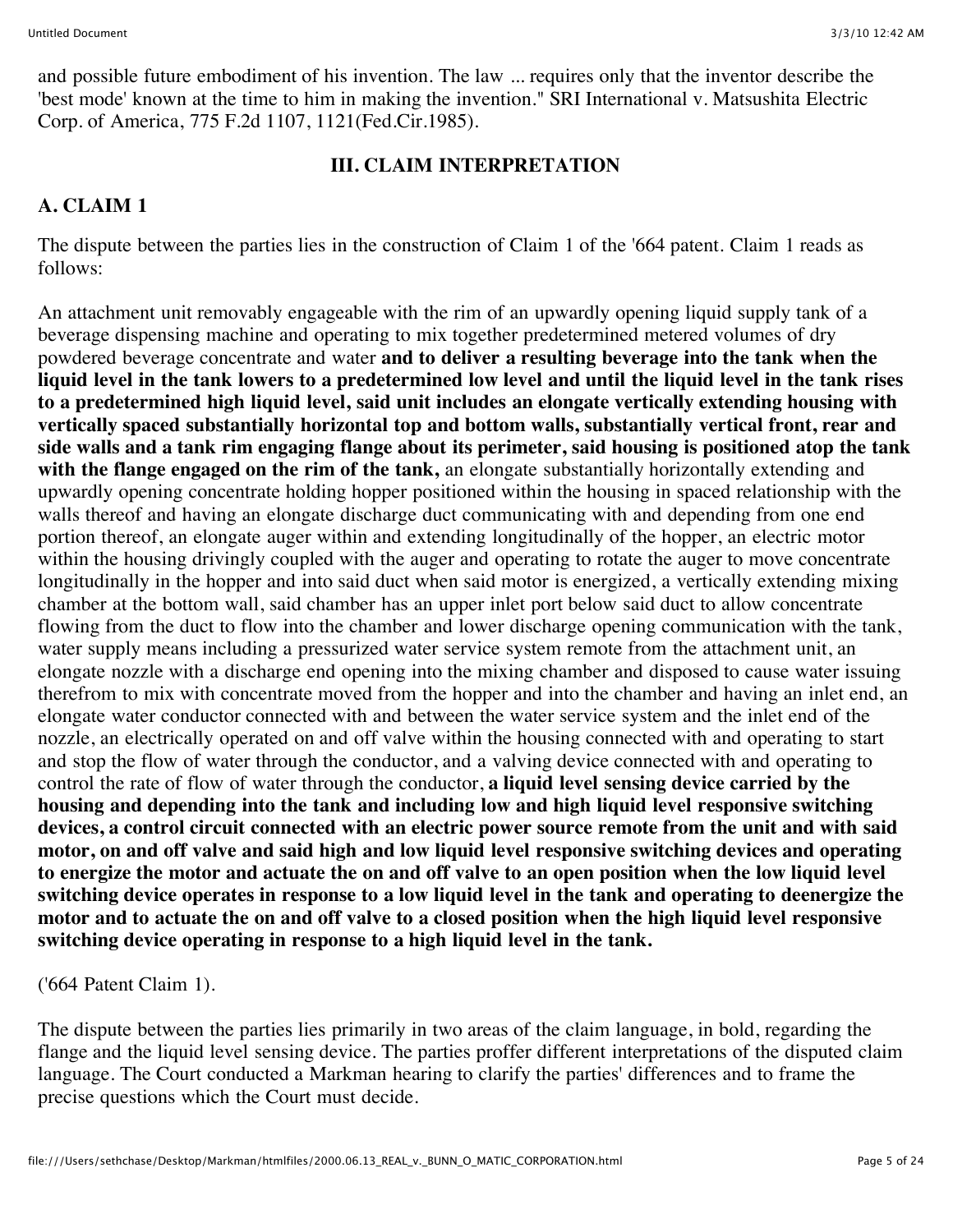and possible future embodiment of his invention. The law ... requires only that the inventor describe the 'best mode' known at the time to him in making the invention." SRI International v. Matsushita Electric Corp. of America, 775 F.2d 1107, 1121(Fed.Cir.1985).

#### **III. CLAIM INTERPRETATION**

## **A. CLAIM 1**

The dispute between the parties lies in the construction of Claim 1 of the '664 patent. Claim 1 reads as follows:

An attachment unit removably engageable with the rim of an upwardly opening liquid supply tank of a beverage dispensing machine and operating to mix together predetermined metered volumes of dry powdered beverage concentrate and water **and to deliver a resulting beverage into the tank when the liquid level in the tank lowers to a predetermined low level and until the liquid level in the tank rises to a predetermined high liquid level, said unit includes an elongate vertically extending housing with vertically spaced substantially horizontal top and bottom walls, substantially vertical front, rear and side walls and a tank rim engaging flange about its perimeter, said housing is positioned atop the tank with the flange engaged on the rim of the tank,** an elongate substantially horizontally extending and upwardly opening concentrate holding hopper positioned within the housing in spaced relationship with the walls thereof and having an elongate discharge duct communicating with and depending from one end portion thereof, an elongate auger within and extending longitudinally of the hopper, an electric motor within the housing drivingly coupled with the auger and operating to rotate the auger to move concentrate longitudinally in the hopper and into said duct when said motor is energized, a vertically extending mixing chamber at the bottom wall, said chamber has an upper inlet port below said duct to allow concentrate flowing from the duct to flow into the chamber and lower discharge opening communication with the tank, water supply means including a pressurized water service system remote from the attachment unit, an elongate nozzle with a discharge end opening into the mixing chamber and disposed to cause water issuing therefrom to mix with concentrate moved from the hopper and into the chamber and having an inlet end, an elongate water conductor connected with and between the water service system and the inlet end of the nozzle, an electrically operated on and off valve within the housing connected with and operating to start and stop the flow of water through the conductor, and a valving device connected with and operating to control the rate of flow of water through the conductor, **a liquid level sensing device carried by the housing and depending into the tank and including low and high liquid level responsive switching devices, a control circuit connected with an electric power source remote from the unit and with said motor, on and off valve and said high and low liquid level responsive switching devices and operating to energize the motor and actuate the on and off valve to an open position when the low liquid level switching device operates in response to a low liquid level in the tank and operating to deenergize the motor and to actuate the on and off valve to a closed position when the high liquid level responsive switching device operating in response to a high liquid level in the tank.**

#### ('664 Patent Claim 1).

The dispute between the parties lies primarily in two areas of the claim language, in bold, regarding the flange and the liquid level sensing device. The parties proffer different interpretations of the disputed claim language. The Court conducted a Markman hearing to clarify the parties' differences and to frame the precise questions which the Court must decide.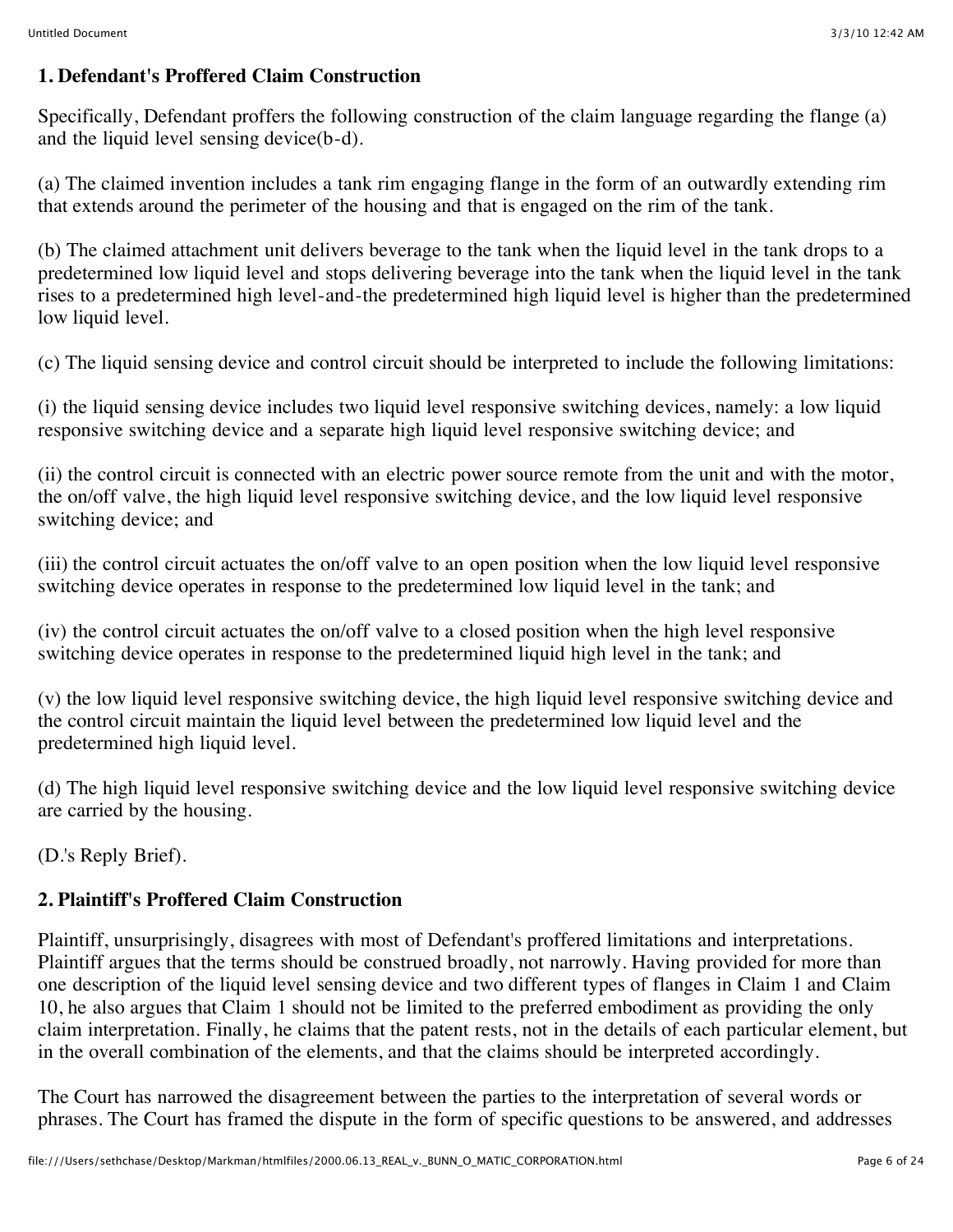#### **1. Defendant's Proffered Claim Construction**

Specifically, Defendant proffers the following construction of the claim language regarding the flange (a) and the liquid level sensing device(b-d).

(a) The claimed invention includes a tank rim engaging flange in the form of an outwardly extending rim that extends around the perimeter of the housing and that is engaged on the rim of the tank.

(b) The claimed attachment unit delivers beverage to the tank when the liquid level in the tank drops to a predetermined low liquid level and stops delivering beverage into the tank when the liquid level in the tank rises to a predetermined high level-and-the predetermined high liquid level is higher than the predetermined low liquid level.

(c) The liquid sensing device and control circuit should be interpreted to include the following limitations:

(i) the liquid sensing device includes two liquid level responsive switching devices, namely: a low liquid responsive switching device and a separate high liquid level responsive switching device; and

(ii) the control circuit is connected with an electric power source remote from the unit and with the motor, the on/off valve, the high liquid level responsive switching device, and the low liquid level responsive switching device; and

(iii) the control circuit actuates the on/off valve to an open position when the low liquid level responsive switching device operates in response to the predetermined low liquid level in the tank; and

(iv) the control circuit actuates the on/off valve to a closed position when the high level responsive switching device operates in response to the predetermined liquid high level in the tank; and

(v) the low liquid level responsive switching device, the high liquid level responsive switching device and the control circuit maintain the liquid level between the predetermined low liquid level and the predetermined high liquid level.

(d) The high liquid level responsive switching device and the low liquid level responsive switching device are carried by the housing.

(D.'s Reply Brief).

# **2. Plaintiff's Proffered Claim Construction**

Plaintiff, unsurprisingly, disagrees with most of Defendant's proffered limitations and interpretations. Plaintiff argues that the terms should be construed broadly, not narrowly. Having provided for more than one description of the liquid level sensing device and two different types of flanges in Claim 1 and Claim 10, he also argues that Claim 1 should not be limited to the preferred embodiment as providing the only claim interpretation. Finally, he claims that the patent rests, not in the details of each particular element, but in the overall combination of the elements, and that the claims should be interpreted accordingly.

The Court has narrowed the disagreement between the parties to the interpretation of several words or phrases. The Court has framed the dispute in the form of specific questions to be answered, and addresses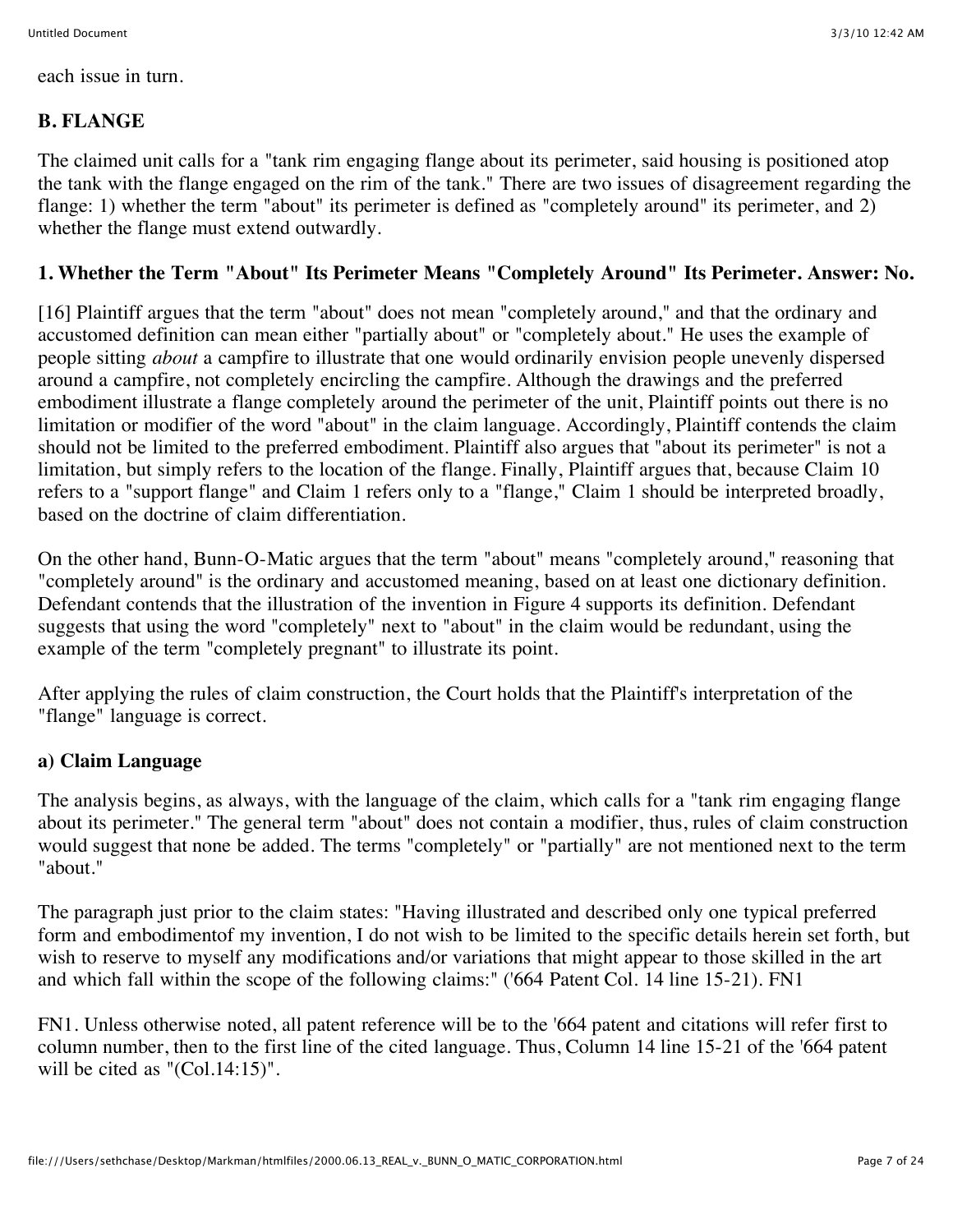each issue in turn.

## **B. FLANGE**

The claimed unit calls for a "tank rim engaging flange about its perimeter, said housing is positioned atop the tank with the flange engaged on the rim of the tank." There are two issues of disagreement regarding the flange: 1) whether the term "about" its perimeter is defined as "completely around" its perimeter, and 2) whether the flange must extend outwardly.

#### **1. Whether the Term "About" Its Perimeter Means "Completely Around" Its Perimeter. Answer: No.**

[16] Plaintiff argues that the term "about" does not mean "completely around," and that the ordinary and accustomed definition can mean either "partially about" or "completely about." He uses the example of people sitting *about* a campfire to illustrate that one would ordinarily envision people unevenly dispersed around a campfire, not completely encircling the campfire. Although the drawings and the preferred embodiment illustrate a flange completely around the perimeter of the unit, Plaintiff points out there is no limitation or modifier of the word "about" in the claim language. Accordingly, Plaintiff contends the claim should not be limited to the preferred embodiment. Plaintiff also argues that "about its perimeter" is not a limitation, but simply refers to the location of the flange. Finally, Plaintiff argues that, because Claim 10 refers to a "support flange" and Claim 1 refers only to a "flange," Claim 1 should be interpreted broadly, based on the doctrine of claim differentiation.

On the other hand, Bunn-O-Matic argues that the term "about" means "completely around," reasoning that "completely around" is the ordinary and accustomed meaning, based on at least one dictionary definition. Defendant contends that the illustration of the invention in Figure 4 supports its definition. Defendant suggests that using the word "completely" next to "about" in the claim would be redundant, using the example of the term "completely pregnant" to illustrate its point.

After applying the rules of claim construction, the Court holds that the Plaintiff's interpretation of the "flange" language is correct.

## **a) Claim Language**

The analysis begins, as always, with the language of the claim, which calls for a "tank rim engaging flange about its perimeter." The general term "about" does not contain a modifier, thus, rules of claim construction would suggest that none be added. The terms "completely" or "partially" are not mentioned next to the term "about."

The paragraph just prior to the claim states: "Having illustrated and described only one typical preferred form and embodimentof my invention, I do not wish to be limited to the specific details herein set forth, but wish to reserve to myself any modifications and/or variations that might appear to those skilled in the art and which fall within the scope of the following claims:" ('664 Patent Col. 14 line 15-21). FN1

FN1. Unless otherwise noted, all patent reference will be to the '664 patent and citations will refer first to column number, then to the first line of the cited language. Thus, Column 14 line 15-21 of the '664 patent will be cited as "(Col.14:15)".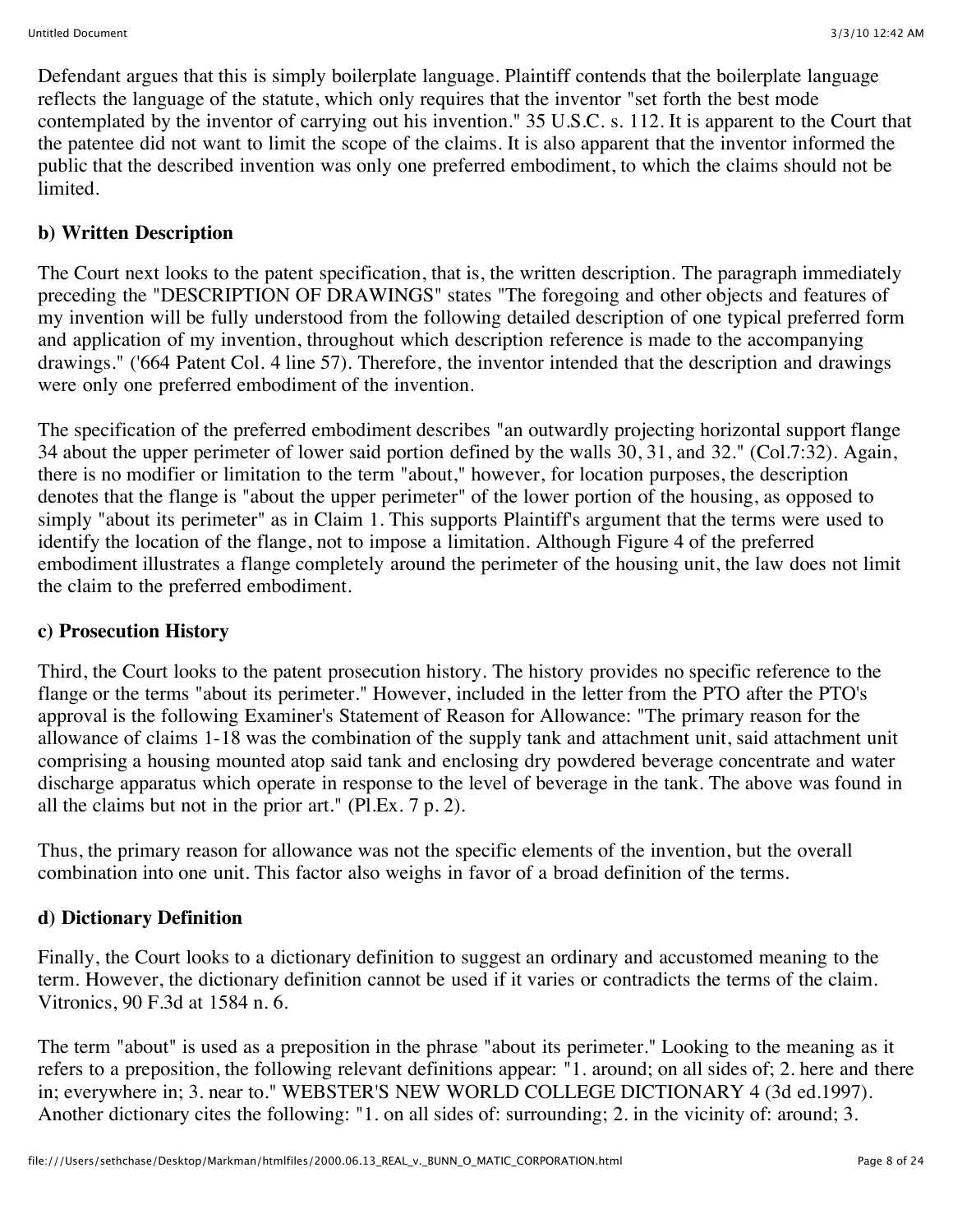Defendant argues that this is simply boilerplate language. Plaintiff contends that the boilerplate language reflects the language of the statute, which only requires that the inventor "set forth the best mode contemplated by the inventor of carrying out his invention." 35 U.S.C. s. 112. It is apparent to the Court that the patentee did not want to limit the scope of the claims. It is also apparent that the inventor informed the public that the described invention was only one preferred embodiment, to which the claims should not be limited.

# **b) Written Description**

The Court next looks to the patent specification, that is, the written description. The paragraph immediately preceding the "DESCRIPTION OF DRAWINGS" states "The foregoing and other objects and features of my invention will be fully understood from the following detailed description of one typical preferred form and application of my invention, throughout which description reference is made to the accompanying drawings." ('664 Patent Col. 4 line 57). Therefore, the inventor intended that the description and drawings were only one preferred embodiment of the invention.

The specification of the preferred embodiment describes "an outwardly projecting horizontal support flange 34 about the upper perimeter of lower said portion defined by the walls 30, 31, and 32." (Col.7:32). Again, there is no modifier or limitation to the term "about," however, for location purposes, the description denotes that the flange is "about the upper perimeter" of the lower portion of the housing, as opposed to simply "about its perimeter" as in Claim 1. This supports Plaintiff's argument that the terms were used to identify the location of the flange, not to impose a limitation. Although Figure 4 of the preferred embodiment illustrates a flange completely around the perimeter of the housing unit, the law does not limit the claim to the preferred embodiment.

# **c) Prosecution History**

Third, the Court looks to the patent prosecution history. The history provides no specific reference to the flange or the terms "about its perimeter." However, included in the letter from the PTO after the PTO's approval is the following Examiner's Statement of Reason for Allowance: "The primary reason for the allowance of claims 1-18 was the combination of the supply tank and attachment unit, said attachment unit comprising a housing mounted atop said tank and enclosing dry powdered beverage concentrate and water discharge apparatus which operate in response to the level of beverage in the tank. The above was found in all the claims but not in the prior art." (Pl.Ex. 7 p. 2).

Thus, the primary reason for allowance was not the specific elements of the invention, but the overall combination into one unit. This factor also weighs in favor of a broad definition of the terms.

# **d) Dictionary Definition**

Finally, the Court looks to a dictionary definition to suggest an ordinary and accustomed meaning to the term. However, the dictionary definition cannot be used if it varies or contradicts the terms of the claim. Vitronics, 90 F.3d at 1584 n. 6.

The term "about" is used as a preposition in the phrase "about its perimeter." Looking to the meaning as it refers to a preposition, the following relevant definitions appear: "1. around; on all sides of; 2. here and there in; everywhere in; 3. near to." WEBSTER'S NEW WORLD COLLEGE DICTIONARY 4 (3d ed.1997). Another dictionary cites the following: "1. on all sides of: surrounding; 2. in the vicinity of: around; 3.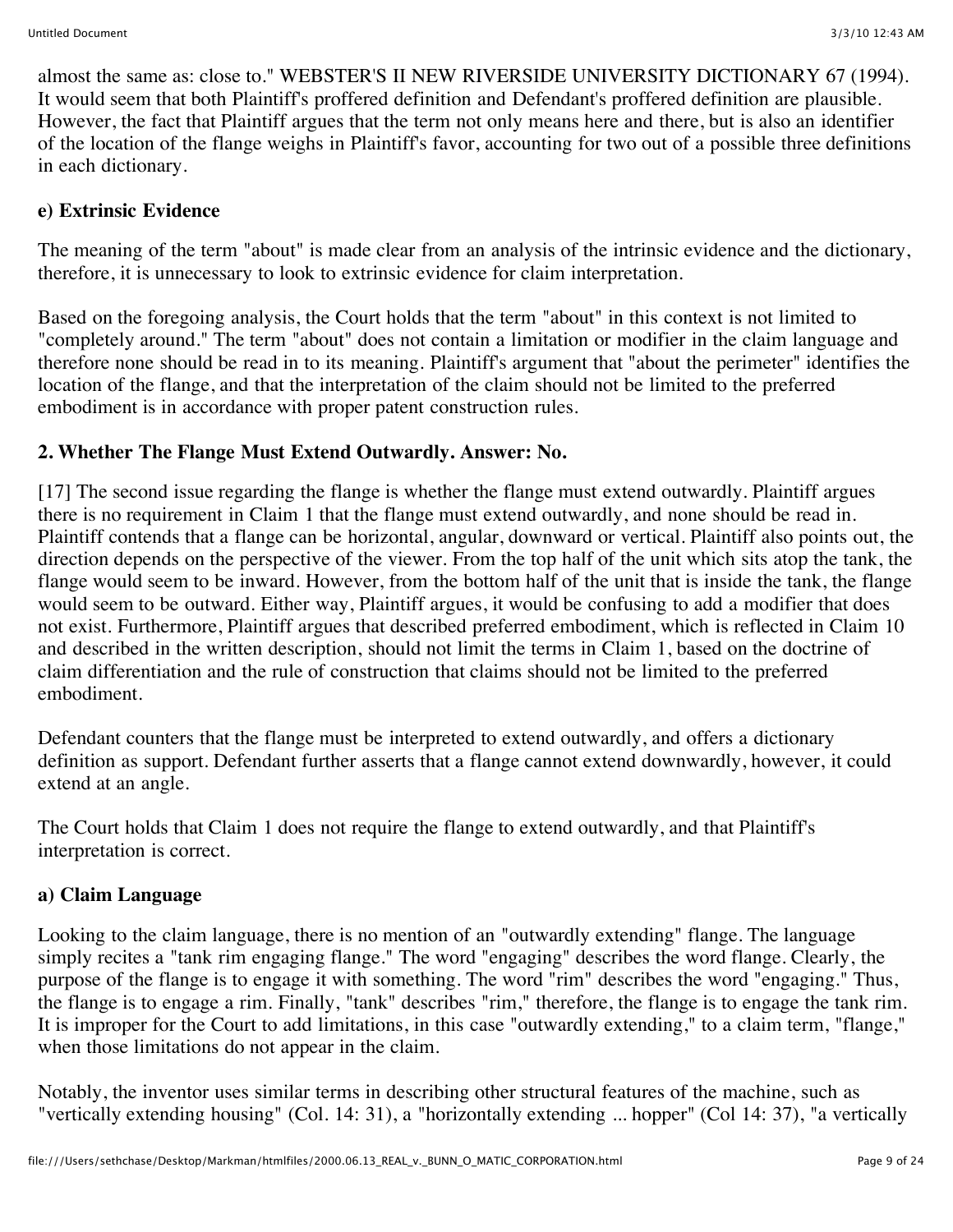almost the same as: close to." WEBSTER'S II NEW RIVERSIDE UNIVERSITY DICTIONARY 67 (1994). It would seem that both Plaintiff's proffered definition and Defendant's proffered definition are plausible. However, the fact that Plaintiff argues that the term not only means here and there, but is also an identifier of the location of the flange weighs in Plaintiff's favor, accounting for two out of a possible three definitions in each dictionary.

#### **e) Extrinsic Evidence**

The meaning of the term "about" is made clear from an analysis of the intrinsic evidence and the dictionary, therefore, it is unnecessary to look to extrinsic evidence for claim interpretation.

Based on the foregoing analysis, the Court holds that the term "about" in this context is not limited to "completely around." The term "about" does not contain a limitation or modifier in the claim language and therefore none should be read in to its meaning. Plaintiff's argument that "about the perimeter" identifies the location of the flange, and that the interpretation of the claim should not be limited to the preferred embodiment is in accordance with proper patent construction rules.

# **2. Whether The Flange Must Extend Outwardly. Answer: No.**

[17] The second issue regarding the flange is whether the flange must extend outwardly. Plaintiff argues there is no requirement in Claim 1 that the flange must extend outwardly, and none should be read in. Plaintiff contends that a flange can be horizontal, angular, downward or vertical. Plaintiff also points out, the direction depends on the perspective of the viewer. From the top half of the unit which sits atop the tank, the flange would seem to be inward. However, from the bottom half of the unit that is inside the tank, the flange would seem to be outward. Either way, Plaintiff argues, it would be confusing to add a modifier that does not exist. Furthermore, Plaintiff argues that described preferred embodiment, which is reflected in Claim 10 and described in the written description, should not limit the terms in Claim 1, based on the doctrine of claim differentiation and the rule of construction that claims should not be limited to the preferred embodiment.

Defendant counters that the flange must be interpreted to extend outwardly, and offers a dictionary definition as support. Defendant further asserts that a flange cannot extend downwardly, however, it could extend at an angle.

The Court holds that Claim 1 does not require the flange to extend outwardly, and that Plaintiff's interpretation is correct.

## **a) Claim Language**

Looking to the claim language, there is no mention of an "outwardly extending" flange. The language simply recites a "tank rim engaging flange." The word "engaging" describes the word flange. Clearly, the purpose of the flange is to engage it with something. The word "rim" describes the word "engaging." Thus, the flange is to engage a rim. Finally, "tank" describes "rim," therefore, the flange is to engage the tank rim. It is improper for the Court to add limitations, in this case "outwardly extending," to a claim term, "flange," when those limitations do not appear in the claim.

Notably, the inventor uses similar terms in describing other structural features of the machine, such as "vertically extending housing" (Col. 14: 31), a "horizontally extending ... hopper" (Col 14: 37), "a vertically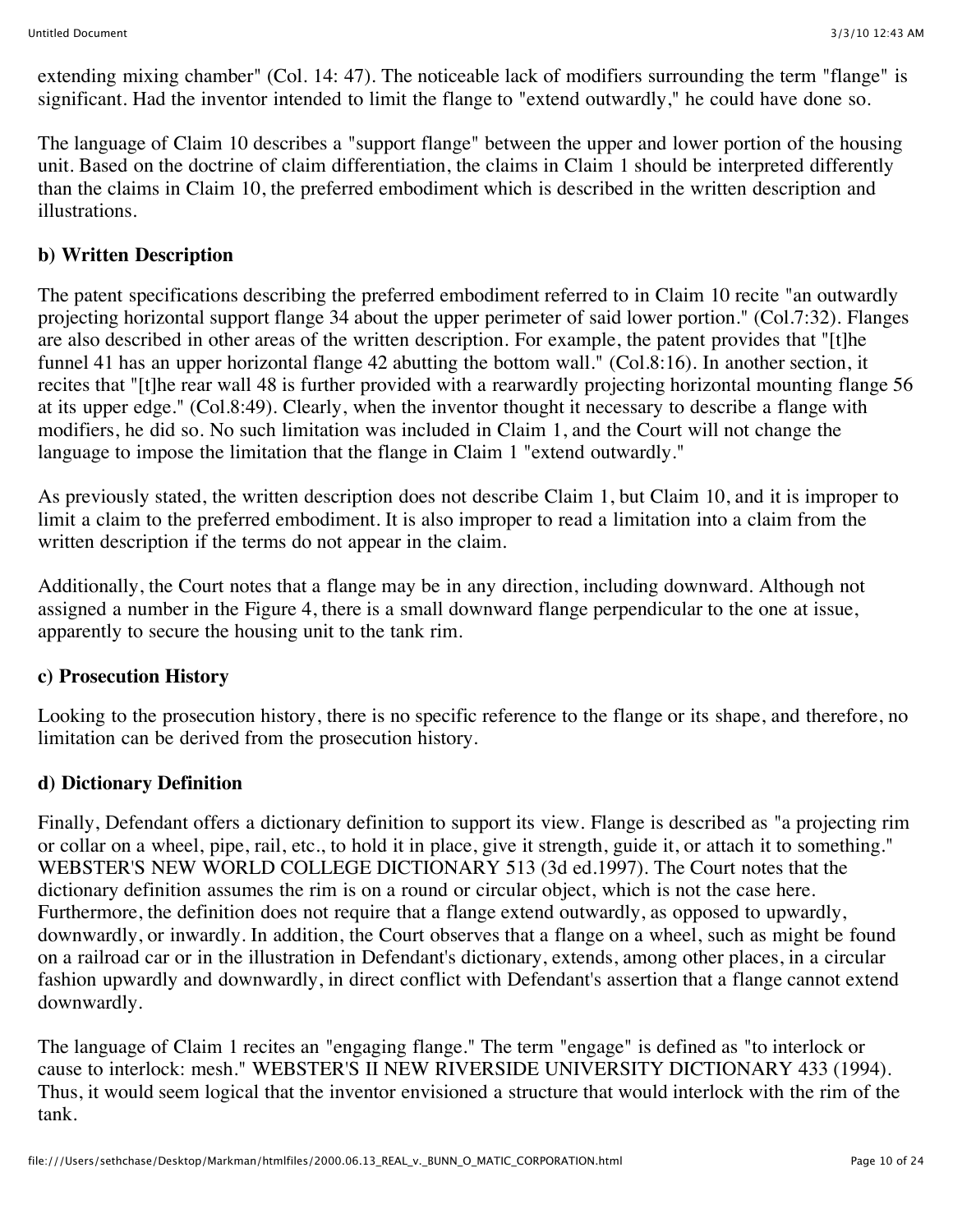extending mixing chamber" (Col. 14: 47). The noticeable lack of modifiers surrounding the term "flange" is significant. Had the inventor intended to limit the flange to "extend outwardly," he could have done so.

The language of Claim 10 describes a "support flange" between the upper and lower portion of the housing unit. Based on the doctrine of claim differentiation, the claims in Claim 1 should be interpreted differently than the claims in Claim 10, the preferred embodiment which is described in the written description and illustrations.

## **b) Written Description**

The patent specifications describing the preferred embodiment referred to in Claim 10 recite "an outwardly projecting horizontal support flange 34 about the upper perimeter of said lower portion." (Col.7:32). Flanges are also described in other areas of the written description. For example, the patent provides that "[t]he funnel 41 has an upper horizontal flange 42 abutting the bottom wall." (Col.8:16). In another section, it recites that "[t]he rear wall 48 is further provided with a rearwardly projecting horizontal mounting flange 56 at its upper edge." (Col.8:49). Clearly, when the inventor thought it necessary to describe a flange with modifiers, he did so. No such limitation was included in Claim 1, and the Court will not change the language to impose the limitation that the flange in Claim 1 "extend outwardly."

As previously stated, the written description does not describe Claim 1, but Claim 10, and it is improper to limit a claim to the preferred embodiment. It is also improper to read a limitation into a claim from the written description if the terms do not appear in the claim.

Additionally, the Court notes that a flange may be in any direction, including downward. Although not assigned a number in the Figure 4, there is a small downward flange perpendicular to the one at issue, apparently to secure the housing unit to the tank rim.

## **c) Prosecution History**

Looking to the prosecution history, there is no specific reference to the flange or its shape, and therefore, no limitation can be derived from the prosecution history.

## **d) Dictionary Definition**

Finally, Defendant offers a dictionary definition to support its view. Flange is described as "a projecting rim or collar on a wheel, pipe, rail, etc., to hold it in place, give it strength, guide it, or attach it to something." WEBSTER'S NEW WORLD COLLEGE DICTIONARY 513 (3d ed.1997). The Court notes that the dictionary definition assumes the rim is on a round or circular object, which is not the case here. Furthermore, the definition does not require that a flange extend outwardly, as opposed to upwardly, downwardly, or inwardly. In addition, the Court observes that a flange on a wheel, such as might be found on a railroad car or in the illustration in Defendant's dictionary, extends, among other places, in a circular fashion upwardly and downwardly, in direct conflict with Defendant's assertion that a flange cannot extend downwardly.

The language of Claim 1 recites an "engaging flange." The term "engage" is defined as "to interlock or cause to interlock: mesh." WEBSTER'S II NEW RIVERSIDE UNIVERSITY DICTIONARY 433 (1994). Thus, it would seem logical that the inventor envisioned a structure that would interlock with the rim of the tank.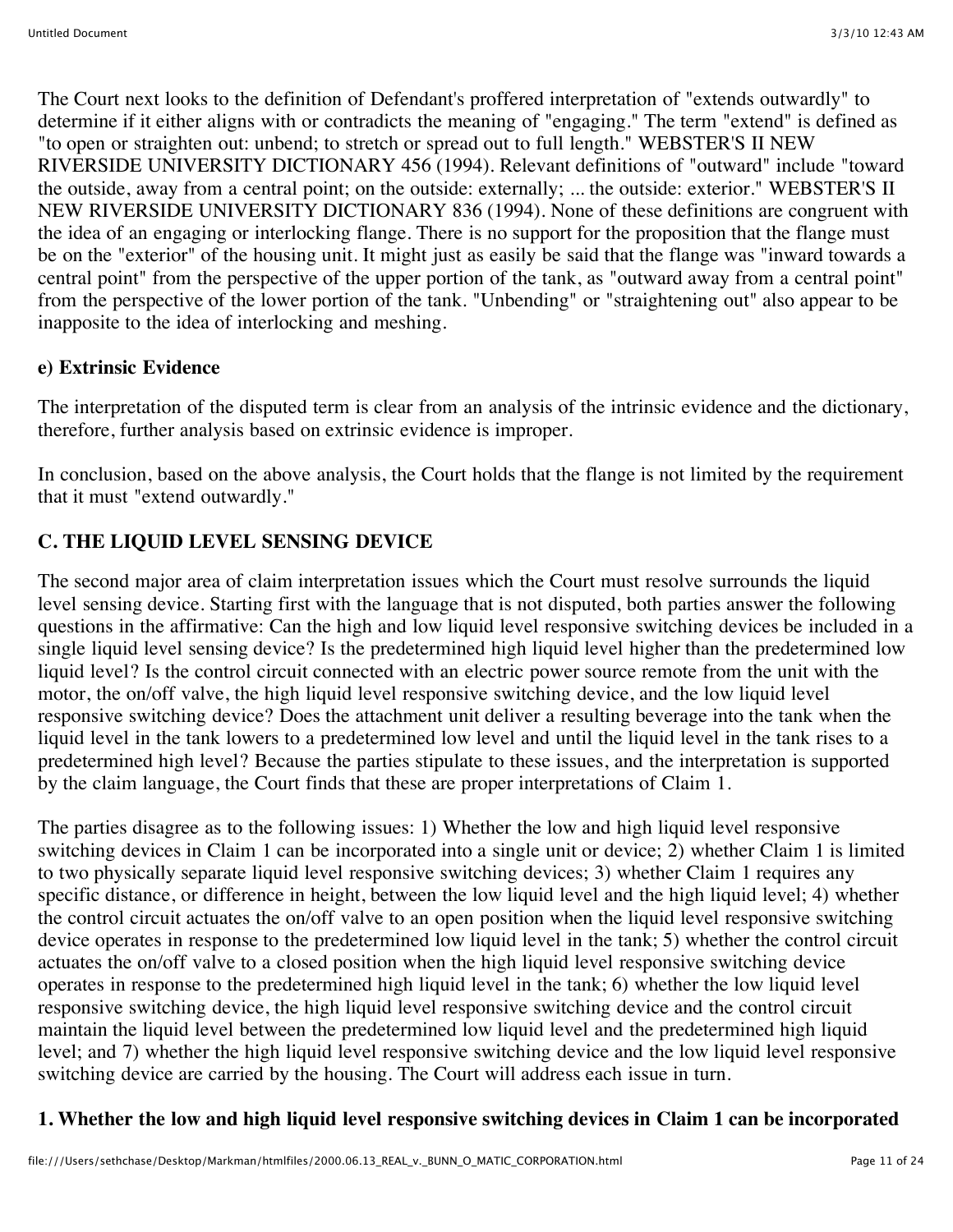The Court next looks to the definition of Defendant's proffered interpretation of "extends outwardly" to determine if it either aligns with or contradicts the meaning of "engaging." The term "extend" is defined as "to open or straighten out: unbend; to stretch or spread out to full length." WEBSTER'S II NEW RIVERSIDE UNIVERSITY DICTIONARY 456 (1994). Relevant definitions of "outward" include "toward the outside, away from a central point; on the outside: externally; ... the outside: exterior." WEBSTER'S II NEW RIVERSIDE UNIVERSITY DICTIONARY 836 (1994). None of these definitions are congruent with the idea of an engaging or interlocking flange. There is no support for the proposition that the flange must be on the "exterior" of the housing unit. It might just as easily be said that the flange was "inward towards a central point" from the perspective of the upper portion of the tank, as "outward away from a central point" from the perspective of the lower portion of the tank. "Unbending" or "straightening out" also appear to be inapposite to the idea of interlocking and meshing.

## **e) Extrinsic Evidence**

The interpretation of the disputed term is clear from an analysis of the intrinsic evidence and the dictionary, therefore, further analysis based on extrinsic evidence is improper.

In conclusion, based on the above analysis, the Court holds that the flange is not limited by the requirement that it must "extend outwardly."

# **C. THE LIQUID LEVEL SENSING DEVICE**

The second major area of claim interpretation issues which the Court must resolve surrounds the liquid level sensing device. Starting first with the language that is not disputed, both parties answer the following questions in the affirmative: Can the high and low liquid level responsive switching devices be included in a single liquid level sensing device? Is the predetermined high liquid level higher than the predetermined low liquid level? Is the control circuit connected with an electric power source remote from the unit with the motor, the on/off valve, the high liquid level responsive switching device, and the low liquid level responsive switching device? Does the attachment unit deliver a resulting beverage into the tank when the liquid level in the tank lowers to a predetermined low level and until the liquid level in the tank rises to a predetermined high level? Because the parties stipulate to these issues, and the interpretation is supported by the claim language, the Court finds that these are proper interpretations of Claim 1.

The parties disagree as to the following issues: 1) Whether the low and high liquid level responsive switching devices in Claim 1 can be incorporated into a single unit or device; 2) whether Claim 1 is limited to two physically separate liquid level responsive switching devices; 3) whether Claim 1 requires any specific distance, or difference in height, between the low liquid level and the high liquid level; 4) whether the control circuit actuates the on/off valve to an open position when the liquid level responsive switching device operates in response to the predetermined low liquid level in the tank; 5) whether the control circuit actuates the on/off valve to a closed position when the high liquid level responsive switching device operates in response to the predetermined high liquid level in the tank; 6) whether the low liquid level responsive switching device, the high liquid level responsive switching device and the control circuit maintain the liquid level between the predetermined low liquid level and the predetermined high liquid level; and 7) whether the high liquid level responsive switching device and the low liquid level responsive switching device are carried by the housing. The Court will address each issue in turn.

# **1. Whether the low and high liquid level responsive switching devices in Claim 1 can be incorporated**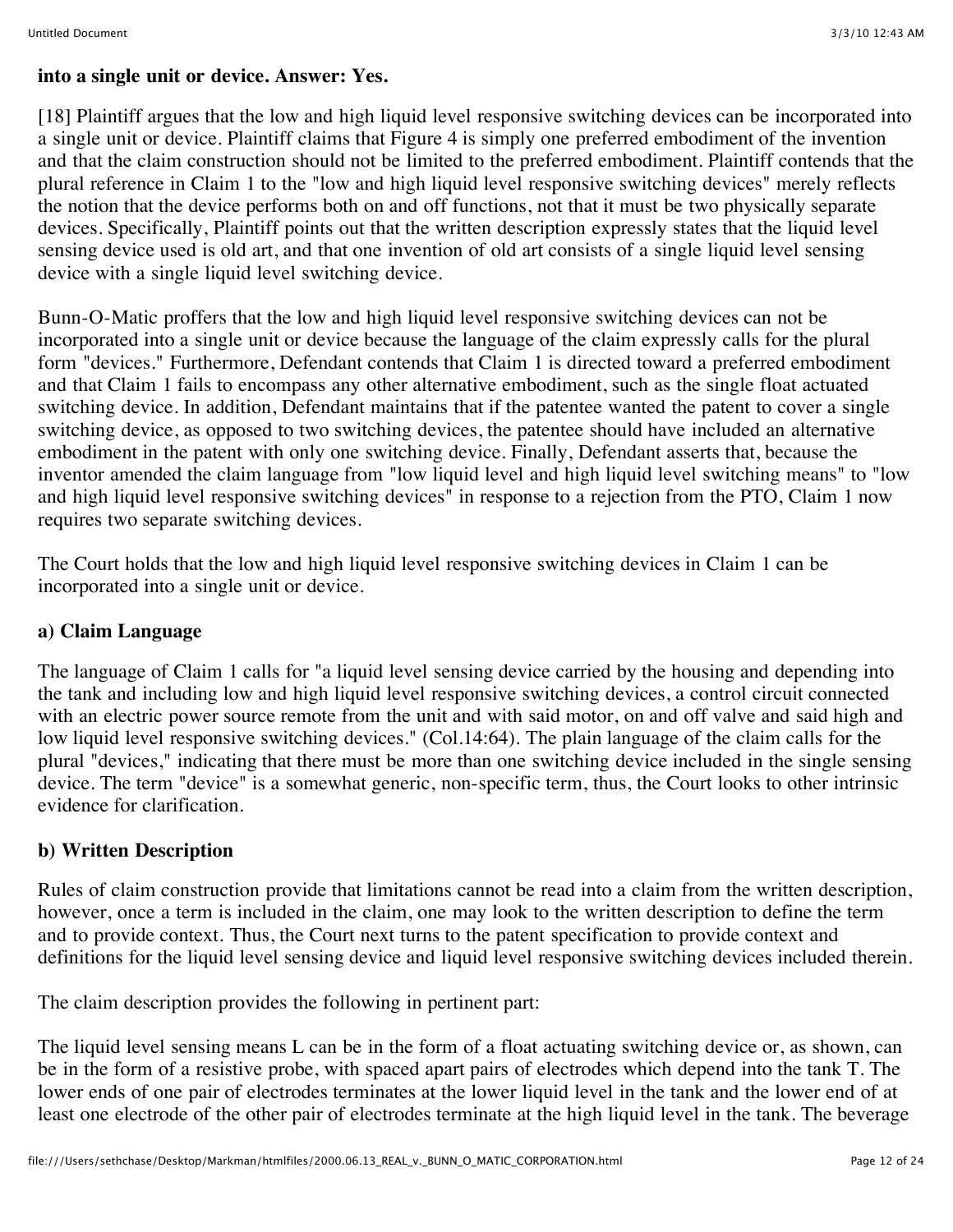#### **into a single unit or device. Answer: Yes.**

[18] Plaintiff argues that the low and high liquid level responsive switching devices can be incorporated into a single unit or device. Plaintiff claims that Figure 4 is simply one preferred embodiment of the invention and that the claim construction should not be limited to the preferred embodiment. Plaintiff contends that the plural reference in Claim 1 to the "low and high liquid level responsive switching devices" merely reflects the notion that the device performs both on and off functions, not that it must be two physically separate devices. Specifically, Plaintiff points out that the written description expressly states that the liquid level sensing device used is old art, and that one invention of old art consists of a single liquid level sensing device with a single liquid level switching device.

Bunn-O-Matic proffers that the low and high liquid level responsive switching devices can not be incorporated into a single unit or device because the language of the claim expressly calls for the plural form "devices." Furthermore, Defendant contends that Claim 1 is directed toward a preferred embodiment and that Claim 1 fails to encompass any other alternative embodiment, such as the single float actuated switching device. In addition, Defendant maintains that if the patentee wanted the patent to cover a single switching device, as opposed to two switching devices, the patentee should have included an alternative embodiment in the patent with only one switching device. Finally, Defendant asserts that, because the inventor amended the claim language from "low liquid level and high liquid level switching means" to "low and high liquid level responsive switching devices" in response to a rejection from the PTO, Claim 1 now requires two separate switching devices.

The Court holds that the low and high liquid level responsive switching devices in Claim 1 can be incorporated into a single unit or device.

## **a) Claim Language**

The language of Claim 1 calls for "a liquid level sensing device carried by the housing and depending into the tank and including low and high liquid level responsive switching devices, a control circuit connected with an electric power source remote from the unit and with said motor, on and off valve and said high and low liquid level responsive switching devices." (Col.14:64). The plain language of the claim calls for the plural "devices," indicating that there must be more than one switching device included in the single sensing device. The term "device" is a somewhat generic, non-specific term, thus, the Court looks to other intrinsic evidence for clarification.

## **b) Written Description**

Rules of claim construction provide that limitations cannot be read into a claim from the written description, however, once a term is included in the claim, one may look to the written description to define the term and to provide context. Thus, the Court next turns to the patent specification to provide context and definitions for the liquid level sensing device and liquid level responsive switching devices included therein.

The claim description provides the following in pertinent part:

The liquid level sensing means L can be in the form of a float actuating switching device or, as shown, can be in the form of a resistive probe, with spaced apart pairs of electrodes which depend into the tank T. The lower ends of one pair of electrodes terminates at the lower liquid level in the tank and the lower end of at least one electrode of the other pair of electrodes terminate at the high liquid level in the tank. The beverage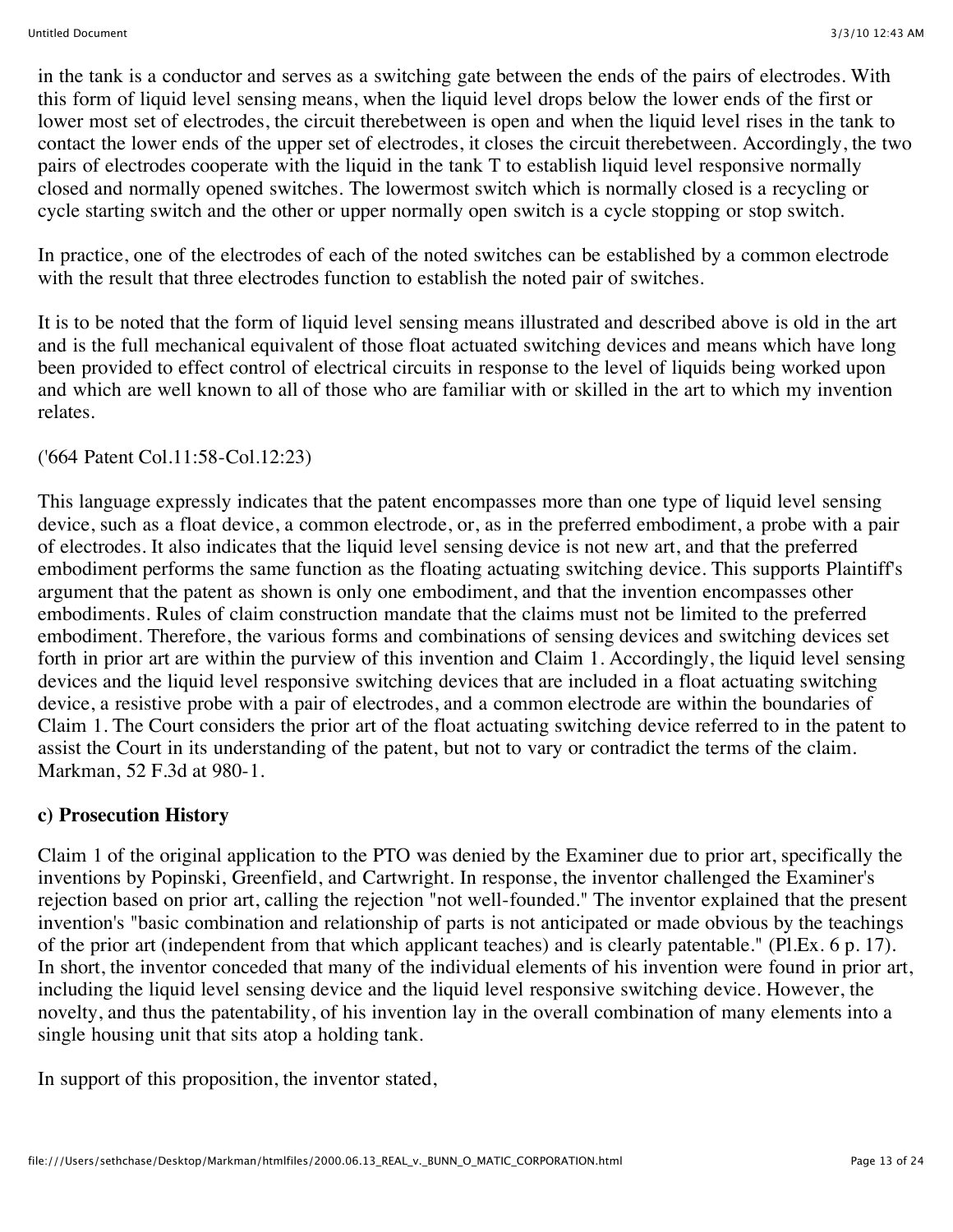in the tank is a conductor and serves as a switching gate between the ends of the pairs of electrodes. With this form of liquid level sensing means, when the liquid level drops below the lower ends of the first or lower most set of electrodes, the circuit therebetween is open and when the liquid level rises in the tank to contact the lower ends of the upper set of electrodes, it closes the circuit therebetween. Accordingly, the two pairs of electrodes cooperate with the liquid in the tank T to establish liquid level responsive normally closed and normally opened switches. The lowermost switch which is normally closed is a recycling or cycle starting switch and the other or upper normally open switch is a cycle stopping or stop switch.

In practice, one of the electrodes of each of the noted switches can be established by a common electrode with the result that three electrodes function to establish the noted pair of switches.

It is to be noted that the form of liquid level sensing means illustrated and described above is old in the art and is the full mechanical equivalent of those float actuated switching devices and means which have long been provided to effect control of electrical circuits in response to the level of liquids being worked upon and which are well known to all of those who are familiar with or skilled in the art to which my invention relates.

## ('664 Patent Col.11:58-Col.12:23)

This language expressly indicates that the patent encompasses more than one type of liquid level sensing device, such as a float device, a common electrode, or, as in the preferred embodiment, a probe with a pair of electrodes. It also indicates that the liquid level sensing device is not new art, and that the preferred embodiment performs the same function as the floating actuating switching device. This supports Plaintiff's argument that the patent as shown is only one embodiment, and that the invention encompasses other embodiments. Rules of claim construction mandate that the claims must not be limited to the preferred embodiment. Therefore, the various forms and combinations of sensing devices and switching devices set forth in prior art are within the purview of this invention and Claim 1. Accordingly, the liquid level sensing devices and the liquid level responsive switching devices that are included in a float actuating switching device, a resistive probe with a pair of electrodes, and a common electrode are within the boundaries of Claim 1. The Court considers the prior art of the float actuating switching device referred to in the patent to assist the Court in its understanding of the patent, but not to vary or contradict the terms of the claim. Markman, 52 F.3d at 980-1.

#### **c) Prosecution History**

Claim 1 of the original application to the PTO was denied by the Examiner due to prior art, specifically the inventions by Popinski, Greenfield, and Cartwright. In response, the inventor challenged the Examiner's rejection based on prior art, calling the rejection "not well-founded." The inventor explained that the present invention's "basic combination and relationship of parts is not anticipated or made obvious by the teachings of the prior art (independent from that which applicant teaches) and is clearly patentable." (Pl.Ex. 6 p. 17). In short, the inventor conceded that many of the individual elements of his invention were found in prior art, including the liquid level sensing device and the liquid level responsive switching device. However, the novelty, and thus the patentability, of his invention lay in the overall combination of many elements into a single housing unit that sits atop a holding tank.

In support of this proposition, the inventor stated,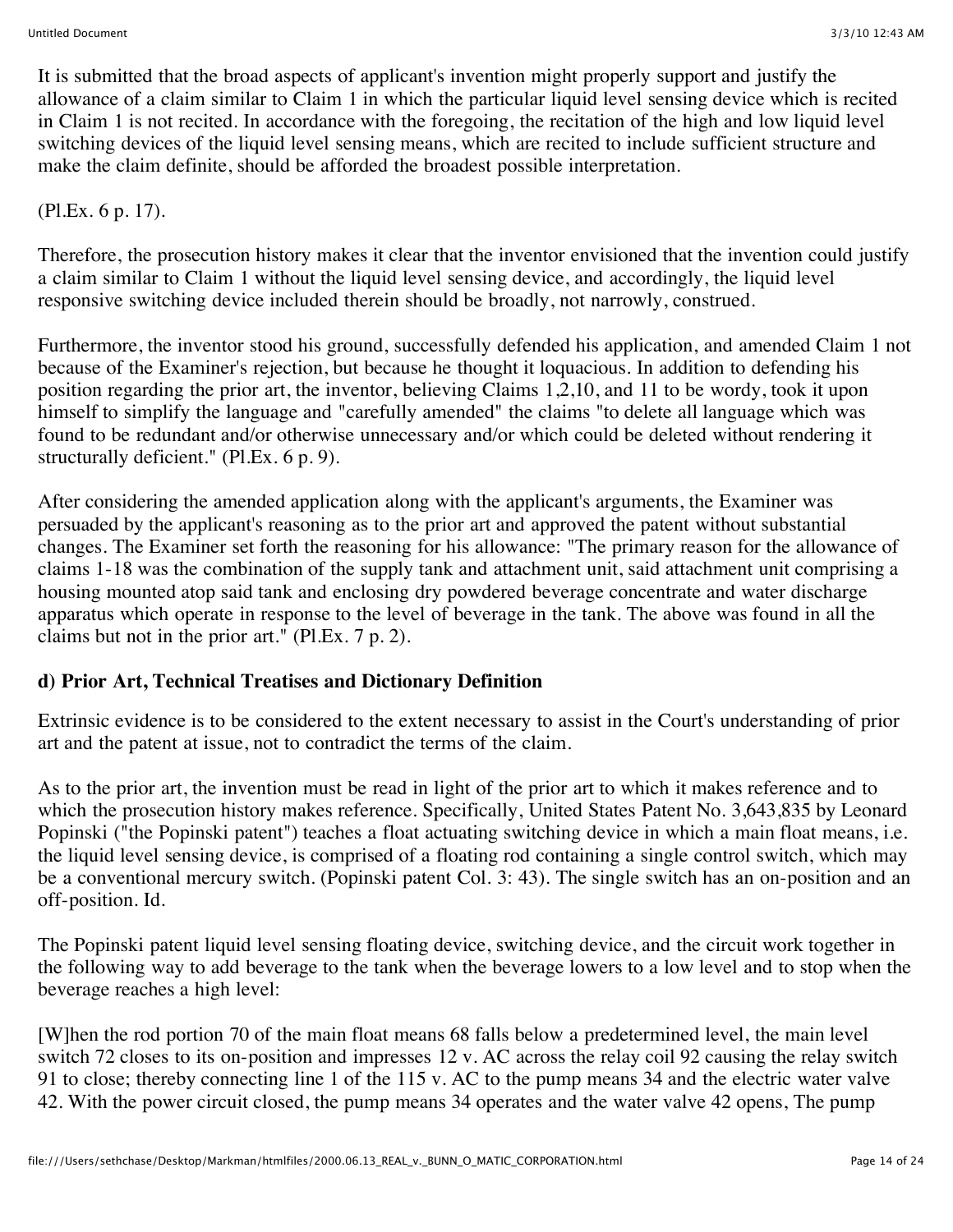It is submitted that the broad aspects of applicant's invention might properly support and justify the allowance of a claim similar to Claim 1 in which the particular liquid level sensing device which is recited in Claim 1 is not recited. In accordance with the foregoing, the recitation of the high and low liquid level switching devices of the liquid level sensing means, which are recited to include sufficient structure and make the claim definite, should be afforded the broadest possible interpretation.

# (Pl.Ex. 6 p. 17).

Therefore, the prosecution history makes it clear that the inventor envisioned that the invention could justify a claim similar to Claim 1 without the liquid level sensing device, and accordingly, the liquid level responsive switching device included therein should be broadly, not narrowly, construed.

Furthermore, the inventor stood his ground, successfully defended his application, and amended Claim 1 not because of the Examiner's rejection, but because he thought it loquacious. In addition to defending his position regarding the prior art, the inventor, believing Claims 1,2,10, and 11 to be wordy, took it upon himself to simplify the language and "carefully amended" the claims "to delete all language which was found to be redundant and/or otherwise unnecessary and/or which could be deleted without rendering it structurally deficient." (Pl.Ex. 6 p. 9).

After considering the amended application along with the applicant's arguments, the Examiner was persuaded by the applicant's reasoning as to the prior art and approved the patent without substantial changes. The Examiner set forth the reasoning for his allowance: "The primary reason for the allowance of claims 1-18 was the combination of the supply tank and attachment unit, said attachment unit comprising a housing mounted atop said tank and enclosing dry powdered beverage concentrate and water discharge apparatus which operate in response to the level of beverage in the tank. The above was found in all the claims but not in the prior art." (Pl.Ex. 7 p. 2).

## **d) Prior Art, Technical Treatises and Dictionary Definition**

Extrinsic evidence is to be considered to the extent necessary to assist in the Court's understanding of prior art and the patent at issue, not to contradict the terms of the claim.

As to the prior art, the invention must be read in light of the prior art to which it makes reference and to which the prosecution history makes reference. Specifically, United States Patent No. 3,643,835 by Leonard Popinski ("the Popinski patent") teaches a float actuating switching device in which a main float means, i.e. the liquid level sensing device, is comprised of a floating rod containing a single control switch, which may be a conventional mercury switch. (Popinski patent Col. 3: 43). The single switch has an on-position and an off-position. Id.

The Popinski patent liquid level sensing floating device, switching device, and the circuit work together in the following way to add beverage to the tank when the beverage lowers to a low level and to stop when the beverage reaches a high level:

[W]hen the rod portion 70 of the main float means 68 falls below a predetermined level, the main level switch 72 closes to its on-position and impresses 12 v. AC across the relay coil 92 causing the relay switch 91 to close; thereby connecting line 1 of the 115 v. AC to the pump means 34 and the electric water valve 42. With the power circuit closed, the pump means 34 operates and the water valve 42 opens, The pump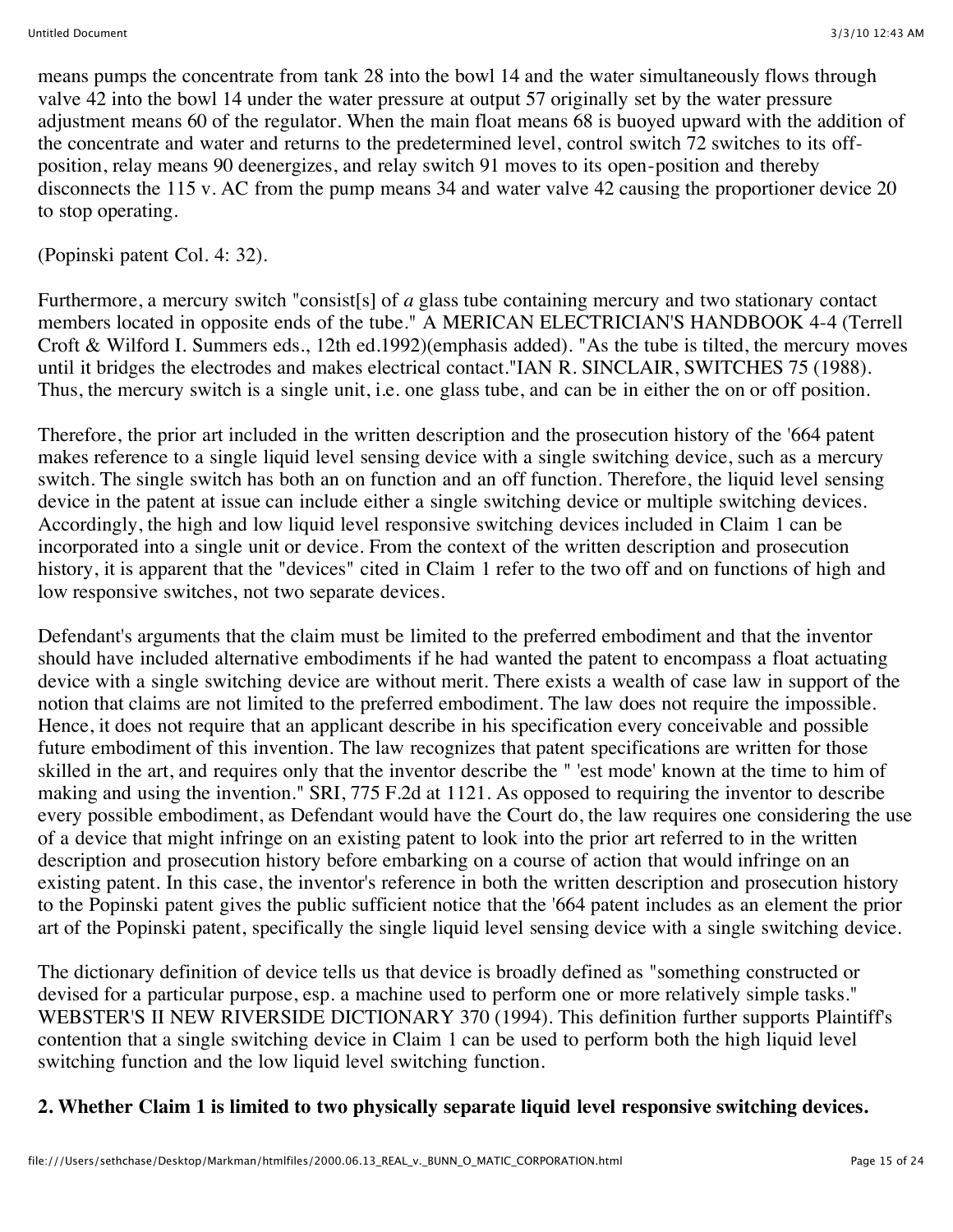means pumps the concentrate from tank 28 into the bowl 14 and the water simultaneously flows through valve 42 into the bowl 14 under the water pressure at output 57 originally set by the water pressure adjustment means 60 of the regulator. When the main float means 68 is buoyed upward with the addition of the concentrate and water and returns to the predetermined level, control switch 72 switches to its offposition, relay means 90 deenergizes, and relay switch 91 moves to its open-position and thereby disconnects the 115 v. AC from the pump means 34 and water valve 42 causing the proportioner device 20 to stop operating.

(Popinski patent Col. 4: 32).

Furthermore, a mercury switch "consist[s] of *a* glass tube containing mercury and two stationary contact members located in opposite ends of the tube." A MERICAN ELECTRICIAN'S HANDBOOK 4-4 (Terrell Croft & Wilford I. Summers eds., 12th ed.1992)(emphasis added). "As the tube is tilted, the mercury moves until it bridges the electrodes and makes electrical contact."IAN R. SINCLAIR, SWITCHES 75 (1988). Thus, the mercury switch is a single unit, i.e. one glass tube, and can be in either the on or off position.

Therefore, the prior art included in the written description and the prosecution history of the '664 patent makes reference to a single liquid level sensing device with a single switching device, such as a mercury switch. The single switch has both an on function and an off function. Therefore, the liquid level sensing device in the patent at issue can include either a single switching device or multiple switching devices. Accordingly, the high and low liquid level responsive switching devices included in Claim 1 can be incorporated into a single unit or device. From the context of the written description and prosecution history, it is apparent that the "devices" cited in Claim 1 refer to the two off and on functions of high and low responsive switches, not two separate devices.

Defendant's arguments that the claim must be limited to the preferred embodiment and that the inventor should have included alternative embodiments if he had wanted the patent to encompass a float actuating device with a single switching device are without merit. There exists a wealth of case law in support of the notion that claims are not limited to the preferred embodiment. The law does not require the impossible. Hence, it does not require that an applicant describe in his specification every conceivable and possible future embodiment of this invention. The law recognizes that patent specifications are written for those skilled in the art, and requires only that the inventor describe the " 'est mode' known at the time to him of making and using the invention." SRI, 775 F.2d at 1121. As opposed to requiring the inventor to describe every possible embodiment, as Defendant would have the Court do, the law requires one considering the use of a device that might infringe on an existing patent to look into the prior art referred to in the written description and prosecution history before embarking on a course of action that would infringe on an existing patent. In this case, the inventor's reference in both the written description and prosecution history to the Popinski patent gives the public sufficient notice that the '664 patent includes as an element the prior art of the Popinski patent, specifically the single liquid level sensing device with a single switching device.

The dictionary definition of device tells us that device is broadly defined as "something constructed or devised for a particular purpose, esp. a machine used to perform one or more relatively simple tasks." WEBSTER'S II NEW RIVERSIDE DICTIONARY 370 (1994). This definition further supports Plaintiff's contention that a single switching device in Claim 1 can be used to perform both the high liquid level switching function and the low liquid level switching function.

# **2. Whether Claim 1 is limited to two physically separate liquid level responsive switching devices.**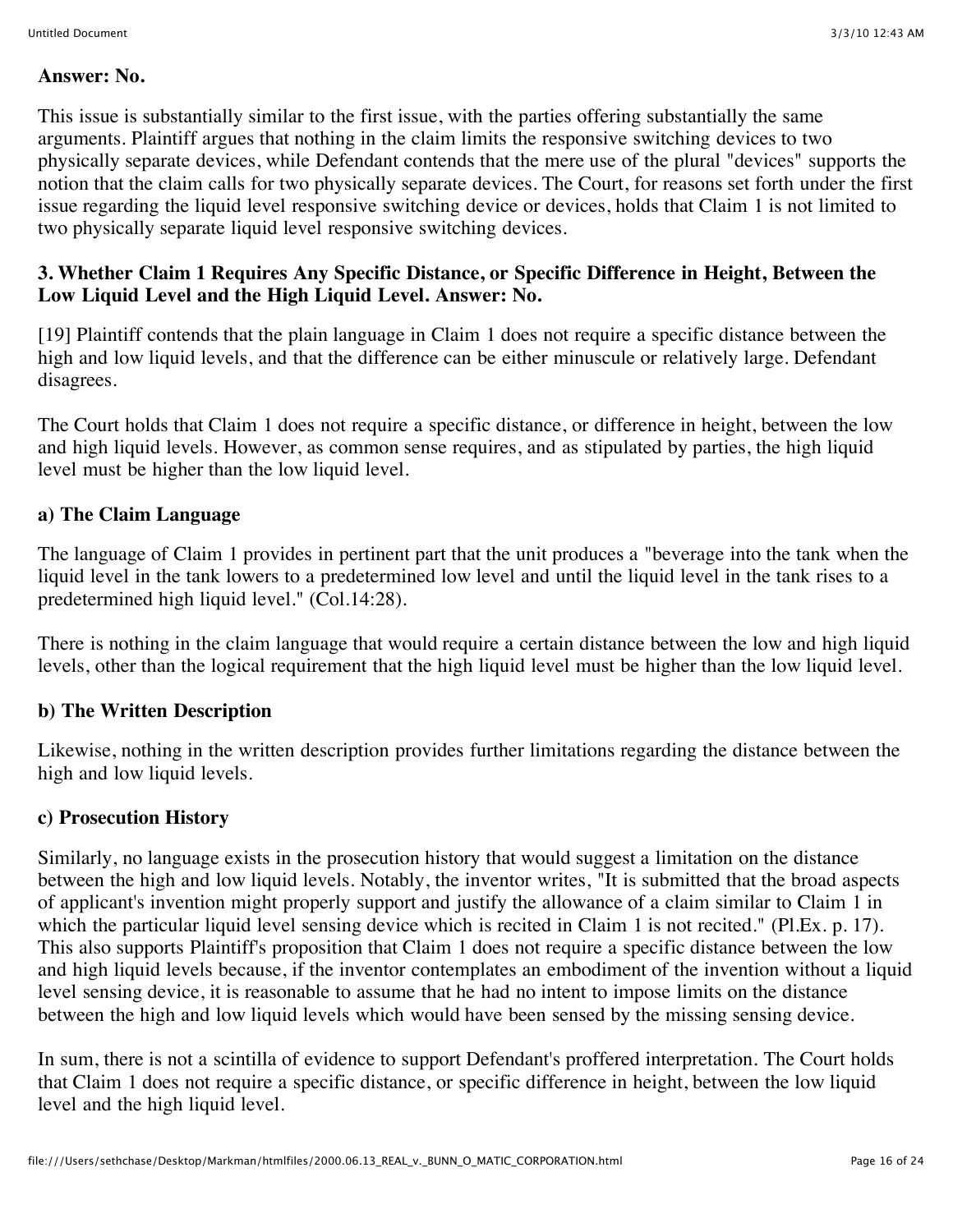#### **Answer: No.**

This issue is substantially similar to the first issue, with the parties offering substantially the same arguments. Plaintiff argues that nothing in the claim limits the responsive switching devices to two physically separate devices, while Defendant contends that the mere use of the plural "devices" supports the notion that the claim calls for two physically separate devices. The Court, for reasons set forth under the first issue regarding the liquid level responsive switching device or devices, holds that Claim 1 is not limited to two physically separate liquid level responsive switching devices.

## **3. Whether Claim 1 Requires Any Specific Distance, or Specific Difference in Height, Between the Low Liquid Level and the High Liquid Level. Answer: No.**

[19] Plaintiff contends that the plain language in Claim 1 does not require a specific distance between the high and low liquid levels, and that the difference can be either minuscule or relatively large. Defendant disagrees.

The Court holds that Claim 1 does not require a specific distance, or difference in height, between the low and high liquid levels. However, as common sense requires, and as stipulated by parties, the high liquid level must be higher than the low liquid level.

## **a) The Claim Language**

The language of Claim 1 provides in pertinent part that the unit produces a "beverage into the tank when the liquid level in the tank lowers to a predetermined low level and until the liquid level in the tank rises to a predetermined high liquid level." (Col.14:28).

There is nothing in the claim language that would require a certain distance between the low and high liquid levels, other than the logical requirement that the high liquid level must be higher than the low liquid level.

# **b) The Written Description**

Likewise, nothing in the written description provides further limitations regarding the distance between the high and low liquid levels.

## **c) Prosecution History**

Similarly, no language exists in the prosecution history that would suggest a limitation on the distance between the high and low liquid levels. Notably, the inventor writes, "It is submitted that the broad aspects of applicant's invention might properly support and justify the allowance of a claim similar to Claim 1 in which the particular liquid level sensing device which is recited in Claim 1 is not recited." (Pl.Ex. p. 17). This also supports Plaintiff's proposition that Claim 1 does not require a specific distance between the low and high liquid levels because, if the inventor contemplates an embodiment of the invention without a liquid level sensing device, it is reasonable to assume that he had no intent to impose limits on the distance between the high and low liquid levels which would have been sensed by the missing sensing device.

In sum, there is not a scintilla of evidence to support Defendant's proffered interpretation. The Court holds that Claim 1 does not require a specific distance, or specific difference in height, between the low liquid level and the high liquid level.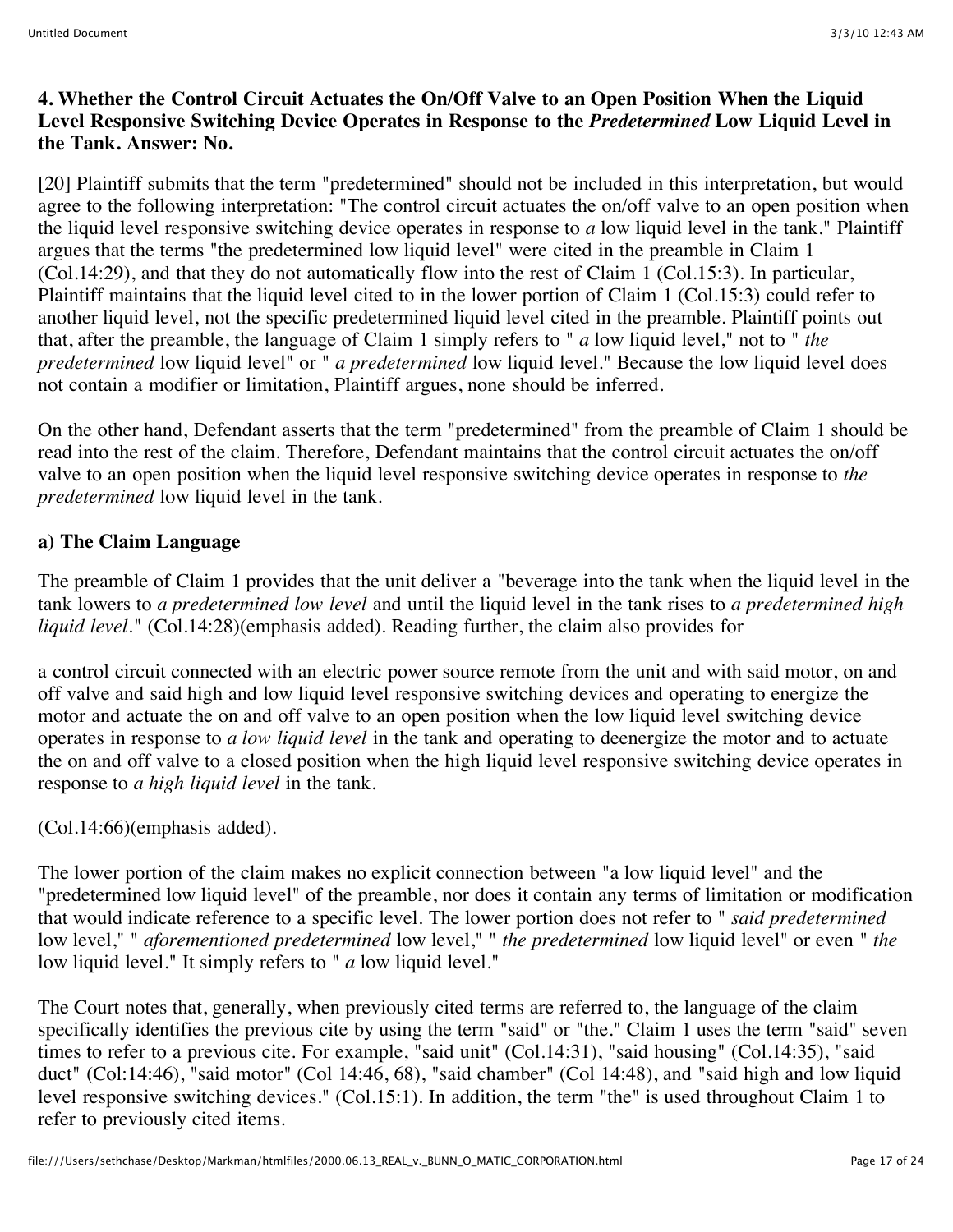#### **4. Whether the Control Circuit Actuates the On/Off Valve to an Open Position When the Liquid Level Responsive Switching Device Operates in Response to the** *Predetermined* **Low Liquid Level in the Tank. Answer: No.**

[20] Plaintiff submits that the term "predetermined" should not be included in this interpretation, but would agree to the following interpretation: "The control circuit actuates the on/off valve to an open position when the liquid level responsive switching device operates in response to *a* low liquid level in the tank." Plaintiff argues that the terms "the predetermined low liquid level" were cited in the preamble in Claim 1 (Col.14:29), and that they do not automatically flow into the rest of Claim 1 (Col.15:3). In particular, Plaintiff maintains that the liquid level cited to in the lower portion of Claim 1 (Col.15:3) could refer to another liquid level, not the specific predetermined liquid level cited in the preamble. Plaintiff points out that, after the preamble, the language of Claim 1 simply refers to " *a* low liquid level," not to " *the predetermined* low liquid level" or " *a predetermined* low liquid level." Because the low liquid level does not contain a modifier or limitation, Plaintiff argues, none should be inferred.

On the other hand, Defendant asserts that the term "predetermined" from the preamble of Claim 1 should be read into the rest of the claim. Therefore, Defendant maintains that the control circuit actuates the on/off valve to an open position when the liquid level responsive switching device operates in response to *the predetermined* low liquid level in the tank.

## **a) The Claim Language**

The preamble of Claim 1 provides that the unit deliver a "beverage into the tank when the liquid level in the tank lowers to *a predetermined low level* and until the liquid level in the tank rises to *a predetermined high liquid level.*" (Col.14:28)(emphasis added). Reading further, the claim also provides for

a control circuit connected with an electric power source remote from the unit and with said motor, on and off valve and said high and low liquid level responsive switching devices and operating to energize the motor and actuate the on and off valve to an open position when the low liquid level switching device operates in response to *a low liquid level* in the tank and operating to deenergize the motor and to actuate the on and off valve to a closed position when the high liquid level responsive switching device operates in response to *a high liquid level* in the tank.

#### (Col.14:66)(emphasis added).

The lower portion of the claim makes no explicit connection between "a low liquid level" and the "predetermined low liquid level" of the preamble, nor does it contain any terms of limitation or modification that would indicate reference to a specific level. The lower portion does not refer to " *said predetermined* low level," " *aforementioned predetermined* low level," " *the predetermined* low liquid level" or even " *the* low liquid level." It simply refers to " *a* low liquid level."

The Court notes that, generally, when previously cited terms are referred to, the language of the claim specifically identifies the previous cite by using the term "said" or "the." Claim 1 uses the term "said" seven times to refer to a previous cite. For example, "said unit" (Col.14:31), "said housing" (Col.14:35), "said duct" (Col:14:46), "said motor" (Col 14:46, 68), "said chamber" (Col 14:48), and "said high and low liquid level responsive switching devices." (Col.15:1). In addition, the term "the" is used throughout Claim 1 to refer to previously cited items.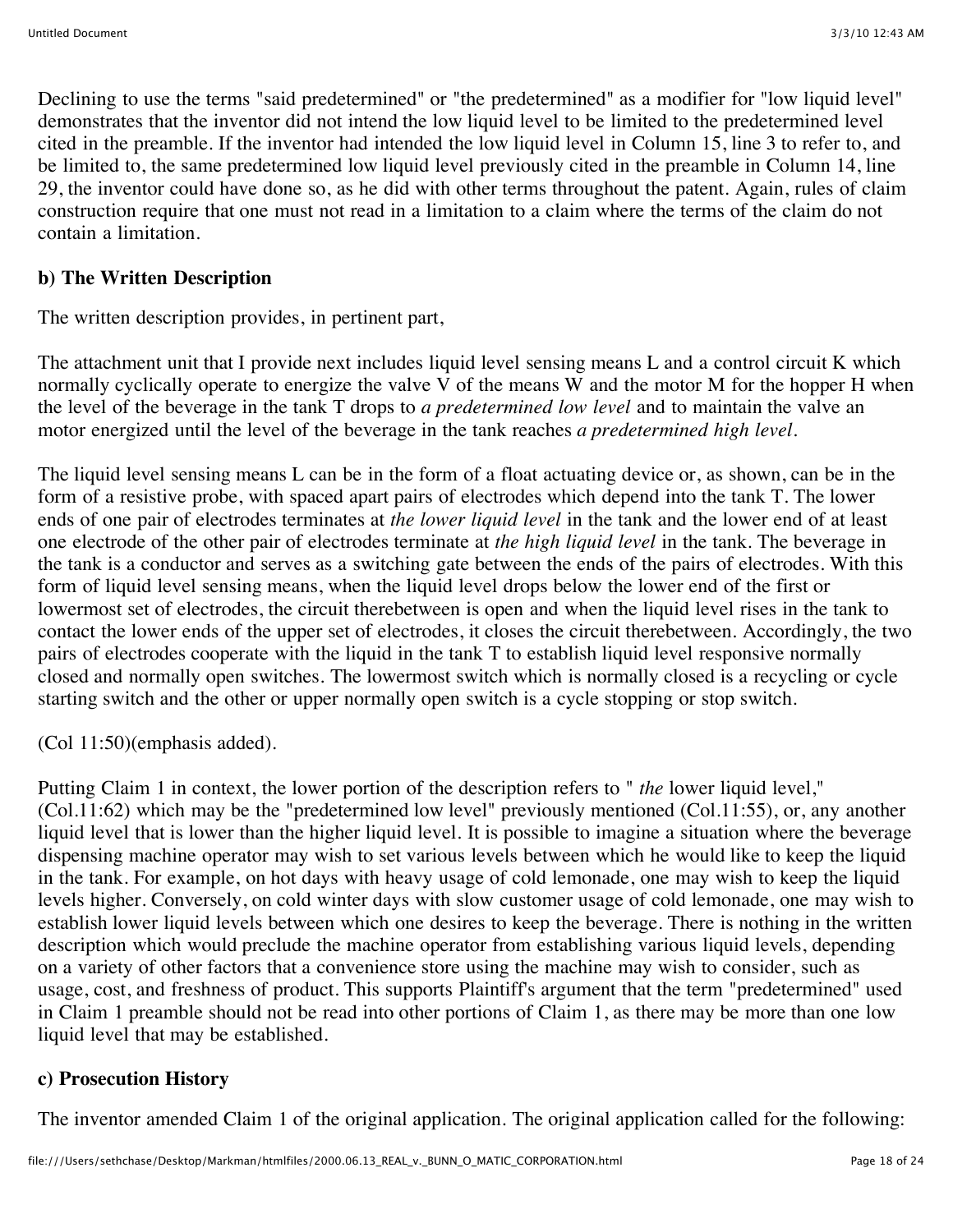Declining to use the terms "said predetermined" or "the predetermined" as a modifier for "low liquid level" demonstrates that the inventor did not intend the low liquid level to be limited to the predetermined level cited in the preamble. If the inventor had intended the low liquid level in Column 15, line 3 to refer to, and be limited to, the same predetermined low liquid level previously cited in the preamble in Column 14, line 29, the inventor could have done so, as he did with other terms throughout the patent. Again, rules of claim construction require that one must not read in a limitation to a claim where the terms of the claim do not contain a limitation.

## **b) The Written Description**

The written description provides, in pertinent part,

The attachment unit that I provide next includes liquid level sensing means L and a control circuit K which normally cyclically operate to energize the valve V of the means W and the motor M for the hopper H when the level of the beverage in the tank T drops to *a predetermined low level* and to maintain the valve an motor energized until the level of the beverage in the tank reaches *a predetermined high level.*

The liquid level sensing means L can be in the form of a float actuating device or, as shown, can be in the form of a resistive probe, with spaced apart pairs of electrodes which depend into the tank T. The lower ends of one pair of electrodes terminates at *the lower liquid level* in the tank and the lower end of at least one electrode of the other pair of electrodes terminate at *the high liquid level* in the tank. The beverage in the tank is a conductor and serves as a switching gate between the ends of the pairs of electrodes. With this form of liquid level sensing means, when the liquid level drops below the lower end of the first or lowermost set of electrodes, the circuit therebetween is open and when the liquid level rises in the tank to contact the lower ends of the upper set of electrodes, it closes the circuit therebetween. Accordingly, the two pairs of electrodes cooperate with the liquid in the tank T to establish liquid level responsive normally closed and normally open switches. The lowermost switch which is normally closed is a recycling or cycle starting switch and the other or upper normally open switch is a cycle stopping or stop switch.

(Col 11:50)(emphasis added).

Putting Claim 1 in context, the lower portion of the description refers to " *the* lower liquid level," (Col.11:62) which may be the "predetermined low level" previously mentioned (Col.11:55), or, any another liquid level that is lower than the higher liquid level. It is possible to imagine a situation where the beverage dispensing machine operator may wish to set various levels between which he would like to keep the liquid in the tank. For example, on hot days with heavy usage of cold lemonade, one may wish to keep the liquid levels higher. Conversely, on cold winter days with slow customer usage of cold lemonade, one may wish to establish lower liquid levels between which one desires to keep the beverage. There is nothing in the written description which would preclude the machine operator from establishing various liquid levels, depending on a variety of other factors that a convenience store using the machine may wish to consider, such as usage, cost, and freshness of product. This supports Plaintiff's argument that the term "predetermined" used in Claim 1 preamble should not be read into other portions of Claim 1, as there may be more than one low liquid level that may be established.

## **c) Prosecution History**

The inventor amended Claim 1 of the original application. The original application called for the following: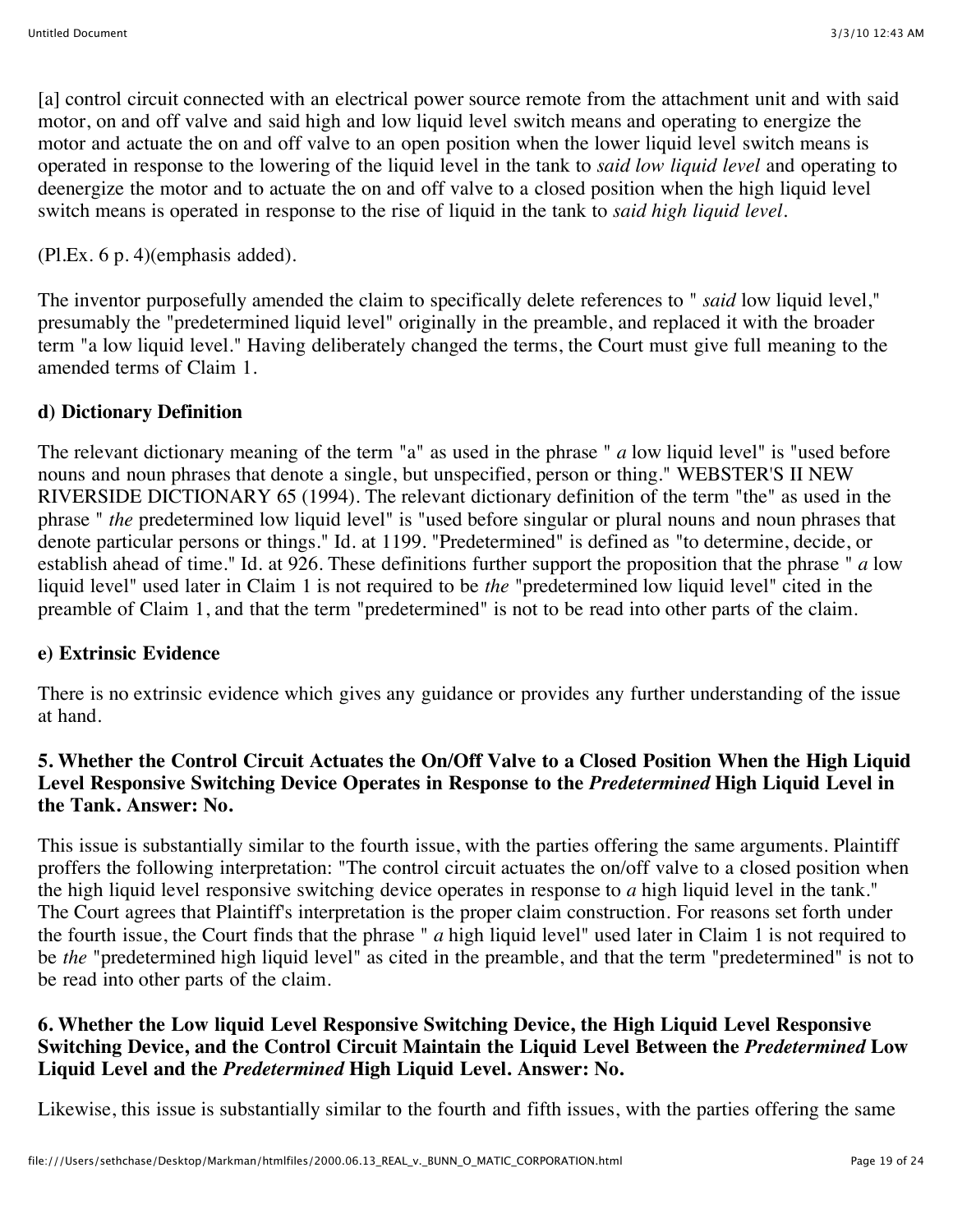[a] control circuit connected with an electrical power source remote from the attachment unit and with said motor, on and off valve and said high and low liquid level switch means and operating to energize the motor and actuate the on and off valve to an open position when the lower liquid level switch means is operated in response to the lowering of the liquid level in the tank to *said low liquid level* and operating to deenergize the motor and to actuate the on and off valve to a closed position when the high liquid level switch means is operated in response to the rise of liquid in the tank to *said high liquid level.*

(Pl.Ex. 6 p. 4)(emphasis added).

The inventor purposefully amended the claim to specifically delete references to " *said* low liquid level," presumably the "predetermined liquid level" originally in the preamble, and replaced it with the broader term "a low liquid level." Having deliberately changed the terms, the Court must give full meaning to the amended terms of Claim 1.

## **d) Dictionary Definition**

The relevant dictionary meaning of the term "a" as used in the phrase " *a* low liquid level" is "used before nouns and noun phrases that denote a single, but unspecified, person or thing." WEBSTER'S II NEW RIVERSIDE DICTIONARY 65 (1994). The relevant dictionary definition of the term "the" as used in the phrase " *the* predetermined low liquid level" is "used before singular or plural nouns and noun phrases that denote particular persons or things." Id. at 1199. "Predetermined" is defined as "to determine, decide, or establish ahead of time." Id. at 926. These definitions further support the proposition that the phrase " *a* low liquid level" used later in Claim 1 is not required to be *the* "predetermined low liquid level" cited in the preamble of Claim 1, and that the term "predetermined" is not to be read into other parts of the claim.

## **e) Extrinsic Evidence**

There is no extrinsic evidence which gives any guidance or provides any further understanding of the issue at hand.

## **5. Whether the Control Circuit Actuates the On/Off Valve to a Closed Position When the High Liquid Level Responsive Switching Device Operates in Response to the** *Predetermined* **High Liquid Level in the Tank. Answer: No.**

This issue is substantially similar to the fourth issue, with the parties offering the same arguments. Plaintiff proffers the following interpretation: "The control circuit actuates the on/off valve to a closed position when the high liquid level responsive switching device operates in response to *a* high liquid level in the tank." The Court agrees that Plaintiff's interpretation is the proper claim construction. For reasons set forth under the fourth issue, the Court finds that the phrase " *a* high liquid level" used later in Claim 1 is not required to be *the* "predetermined high liquid level" as cited in the preamble, and that the term "predetermined" is not to be read into other parts of the claim.

#### **6. Whether the Low liquid Level Responsive Switching Device, the High Liquid Level Responsive Switching Device, and the Control Circuit Maintain the Liquid Level Between the** *Predetermined* **Low Liquid Level and the** *Predetermined* **High Liquid Level. Answer: No.**

Likewise, this issue is substantially similar to the fourth and fifth issues, with the parties offering the same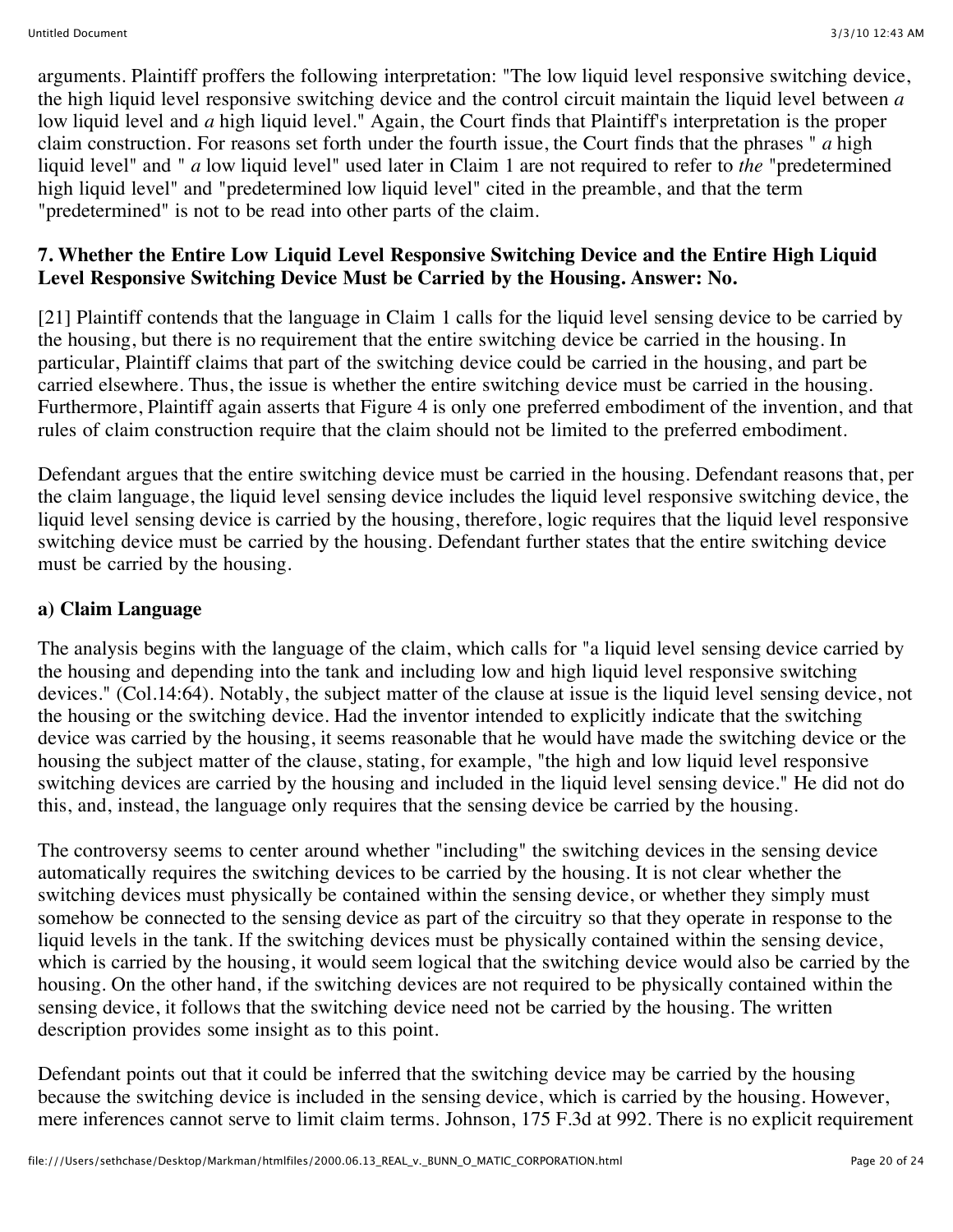arguments. Plaintiff proffers the following interpretation: "The low liquid level responsive switching device, the high liquid level responsive switching device and the control circuit maintain the liquid level between *a* low liquid level and *a* high liquid level." Again, the Court finds that Plaintiff's interpretation is the proper claim construction. For reasons set forth under the fourth issue, the Court finds that the phrases " *a* high liquid level" and " *a* low liquid level" used later in Claim 1 are not required to refer to *the* "predetermined high liquid level" and "predetermined low liquid level" cited in the preamble, and that the term "predetermined" is not to be read into other parts of the claim.

#### **7. Whether the Entire Low Liquid Level Responsive Switching Device and the Entire High Liquid Level Responsive Switching Device Must be Carried by the Housing. Answer: No.**

[21] Plaintiff contends that the language in Claim 1 calls for the liquid level sensing device to be carried by the housing, but there is no requirement that the entire switching device be carried in the housing. In particular, Plaintiff claims that part of the switching device could be carried in the housing, and part be carried elsewhere. Thus, the issue is whether the entire switching device must be carried in the housing. Furthermore, Plaintiff again asserts that Figure 4 is only one preferred embodiment of the invention, and that rules of claim construction require that the claim should not be limited to the preferred embodiment.

Defendant argues that the entire switching device must be carried in the housing. Defendant reasons that, per the claim language, the liquid level sensing device includes the liquid level responsive switching device, the liquid level sensing device is carried by the housing, therefore, logic requires that the liquid level responsive switching device must be carried by the housing. Defendant further states that the entire switching device must be carried by the housing.

## **a) Claim Language**

The analysis begins with the language of the claim, which calls for "a liquid level sensing device carried by the housing and depending into the tank and including low and high liquid level responsive switching devices." (Col.14:64). Notably, the subject matter of the clause at issue is the liquid level sensing device, not the housing or the switching device. Had the inventor intended to explicitly indicate that the switching device was carried by the housing, it seems reasonable that he would have made the switching device or the housing the subject matter of the clause, stating, for example, "the high and low liquid level responsive switching devices are carried by the housing and included in the liquid level sensing device." He did not do this, and, instead, the language only requires that the sensing device be carried by the housing.

The controversy seems to center around whether "including" the switching devices in the sensing device automatically requires the switching devices to be carried by the housing. It is not clear whether the switching devices must physically be contained within the sensing device, or whether they simply must somehow be connected to the sensing device as part of the circuitry so that they operate in response to the liquid levels in the tank. If the switching devices must be physically contained within the sensing device, which is carried by the housing, it would seem logical that the switching device would also be carried by the housing. On the other hand, if the switching devices are not required to be physically contained within the sensing device, it follows that the switching device need not be carried by the housing. The written description provides some insight as to this point.

Defendant points out that it could be inferred that the switching device may be carried by the housing because the switching device is included in the sensing device, which is carried by the housing. However, mere inferences cannot serve to limit claim terms. Johnson, 175 F.3d at 992. There is no explicit requirement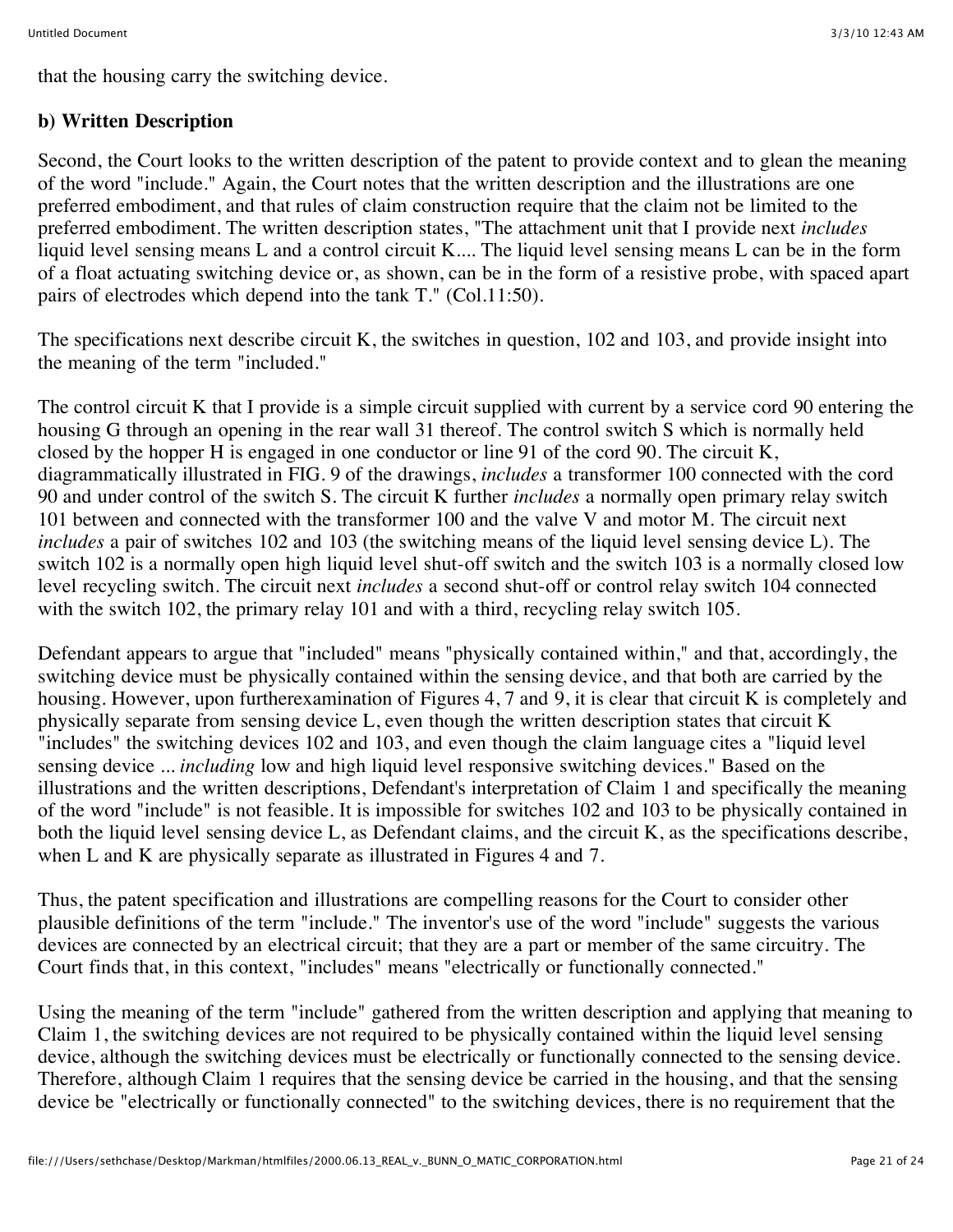that the housing carry the switching device.

## **b) Written Description**

Second, the Court looks to the written description of the patent to provide context and to glean the meaning of the word "include." Again, the Court notes that the written description and the illustrations are one preferred embodiment, and that rules of claim construction require that the claim not be limited to the preferred embodiment. The written description states, "The attachment unit that I provide next *includes* liquid level sensing means L and a control circuit K.... The liquid level sensing means L can be in the form of a float actuating switching device or, as shown, can be in the form of a resistive probe, with spaced apart pairs of electrodes which depend into the tank T." (Col.11:50).

The specifications next describe circuit K, the switches in question, 102 and 103, and provide insight into the meaning of the term "included."

The control circuit K that I provide is a simple circuit supplied with current by a service cord 90 entering the housing G through an opening in the rear wall 31 thereof. The control switch S which is normally held closed by the hopper H is engaged in one conductor or line 91 of the cord 90. The circuit K, diagrammatically illustrated in FIG. 9 of the drawings, *includes* a transformer 100 connected with the cord 90 and under control of the switch S. The circuit K further *includes* a normally open primary relay switch 101 between and connected with the transformer 100 and the valve V and motor M. The circuit next *includes* a pair of switches 102 and 103 (the switching means of the liquid level sensing device L). The switch 102 is a normally open high liquid level shut-off switch and the switch 103 is a normally closed low level recycling switch. The circuit next *includes* a second shut-off or control relay switch 104 connected with the switch 102, the primary relay 101 and with a third, recycling relay switch 105.

Defendant appears to argue that "included" means "physically contained within," and that, accordingly, the switching device must be physically contained within the sensing device, and that both are carried by the housing. However, upon furtherexamination of Figures 4, 7 and 9, it is clear that circuit K is completely and physically separate from sensing device L, even though the written description states that circuit K "includes" the switching devices 102 and 103, and even though the claim language cites a "liquid level sensing device ... *including* low and high liquid level responsive switching devices." Based on the illustrations and the written descriptions, Defendant's interpretation of Claim 1 and specifically the meaning of the word "include" is not feasible. It is impossible for switches 102 and 103 to be physically contained in both the liquid level sensing device L, as Defendant claims, and the circuit K, as the specifications describe, when L and K are physically separate as illustrated in Figures 4 and 7.

Thus, the patent specification and illustrations are compelling reasons for the Court to consider other plausible definitions of the term "include." The inventor's use of the word "include" suggests the various devices are connected by an electrical circuit; that they are a part or member of the same circuitry. The Court finds that, in this context, "includes" means "electrically or functionally connected."

Using the meaning of the term "include" gathered from the written description and applying that meaning to Claim 1, the switching devices are not required to be physically contained within the liquid level sensing device, although the switching devices must be electrically or functionally connected to the sensing device. Therefore, although Claim 1 requires that the sensing device be carried in the housing, and that the sensing device be "electrically or functionally connected" to the switching devices, there is no requirement that the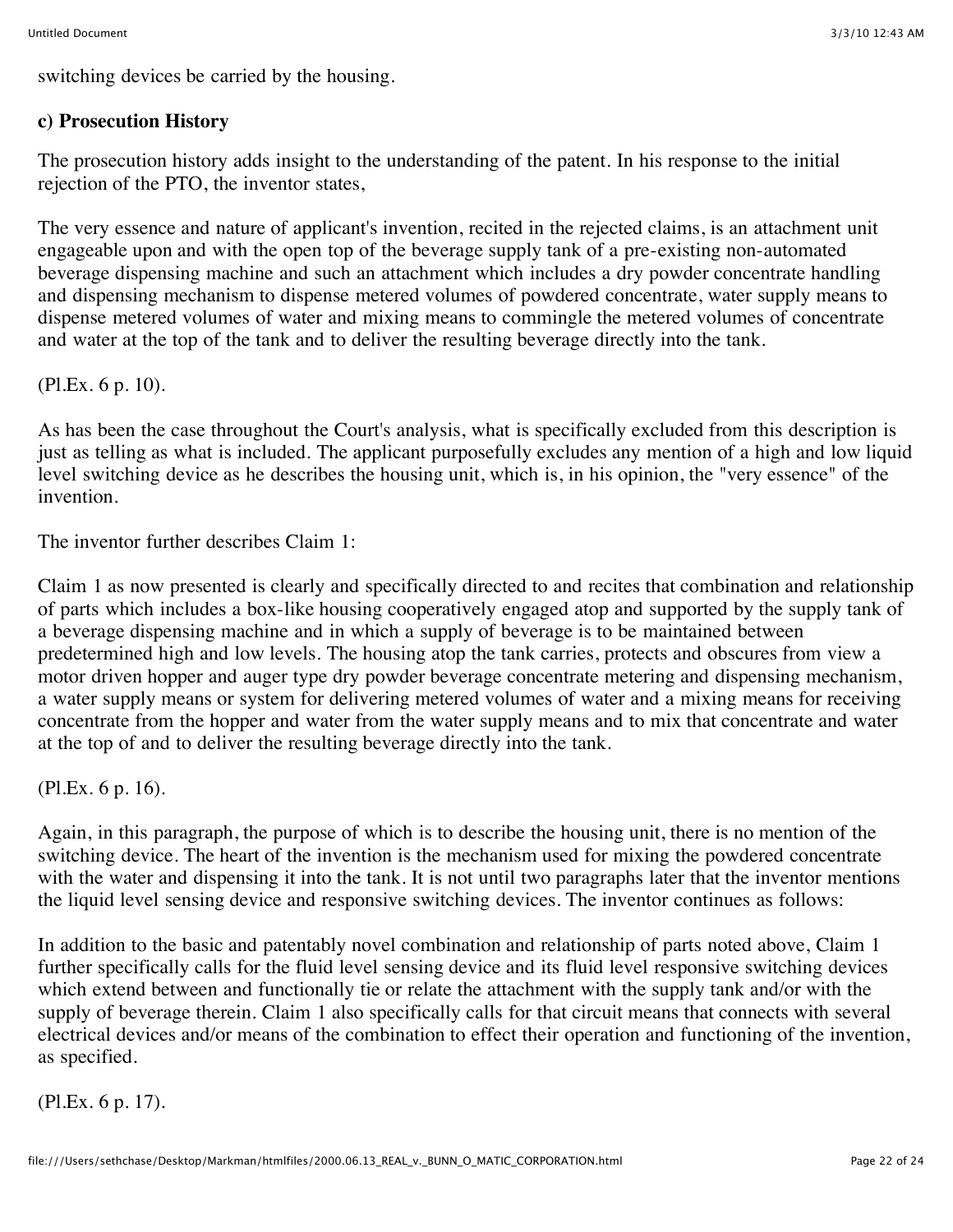switching devices be carried by the housing.

#### **c) Prosecution History**

The prosecution history adds insight to the understanding of the patent. In his response to the initial rejection of the PTO, the inventor states,

The very essence and nature of applicant's invention, recited in the rejected claims, is an attachment unit engageable upon and with the open top of the beverage supply tank of a pre-existing non-automated beverage dispensing machine and such an attachment which includes a dry powder concentrate handling and dispensing mechanism to dispense metered volumes of powdered concentrate, water supply means to dispense metered volumes of water and mixing means to commingle the metered volumes of concentrate and water at the top of the tank and to deliver the resulting beverage directly into the tank.

(Pl.Ex. 6 p. 10).

As has been the case throughout the Court's analysis, what is specifically excluded from this description is just as telling as what is included. The applicant purposefully excludes any mention of a high and low liquid level switching device as he describes the housing unit, which is, in his opinion, the "very essence" of the invention.

The inventor further describes Claim 1:

Claim 1 as now presented is clearly and specifically directed to and recites that combination and relationship of parts which includes a box-like housing cooperatively engaged atop and supported by the supply tank of a beverage dispensing machine and in which a supply of beverage is to be maintained between predetermined high and low levels. The housing atop the tank carries, protects and obscures from view a motor driven hopper and auger type dry powder beverage concentrate metering and dispensing mechanism, a water supply means or system for delivering metered volumes of water and a mixing means for receiving concentrate from the hopper and water from the water supply means and to mix that concentrate and water at the top of and to deliver the resulting beverage directly into the tank.

(Pl.Ex. 6 p. 16).

Again, in this paragraph, the purpose of which is to describe the housing unit, there is no mention of the switching device. The heart of the invention is the mechanism used for mixing the powdered concentrate with the water and dispensing it into the tank. It is not until two paragraphs later that the inventor mentions the liquid level sensing device and responsive switching devices. The inventor continues as follows:

In addition to the basic and patentably novel combination and relationship of parts noted above, Claim 1 further specifically calls for the fluid level sensing device and its fluid level responsive switching devices which extend between and functionally tie or relate the attachment with the supply tank and/or with the supply of beverage therein. Claim 1 also specifically calls for that circuit means that connects with several electrical devices and/or means of the combination to effect their operation and functioning of the invention, as specified.

(Pl.Ex. 6 p. 17).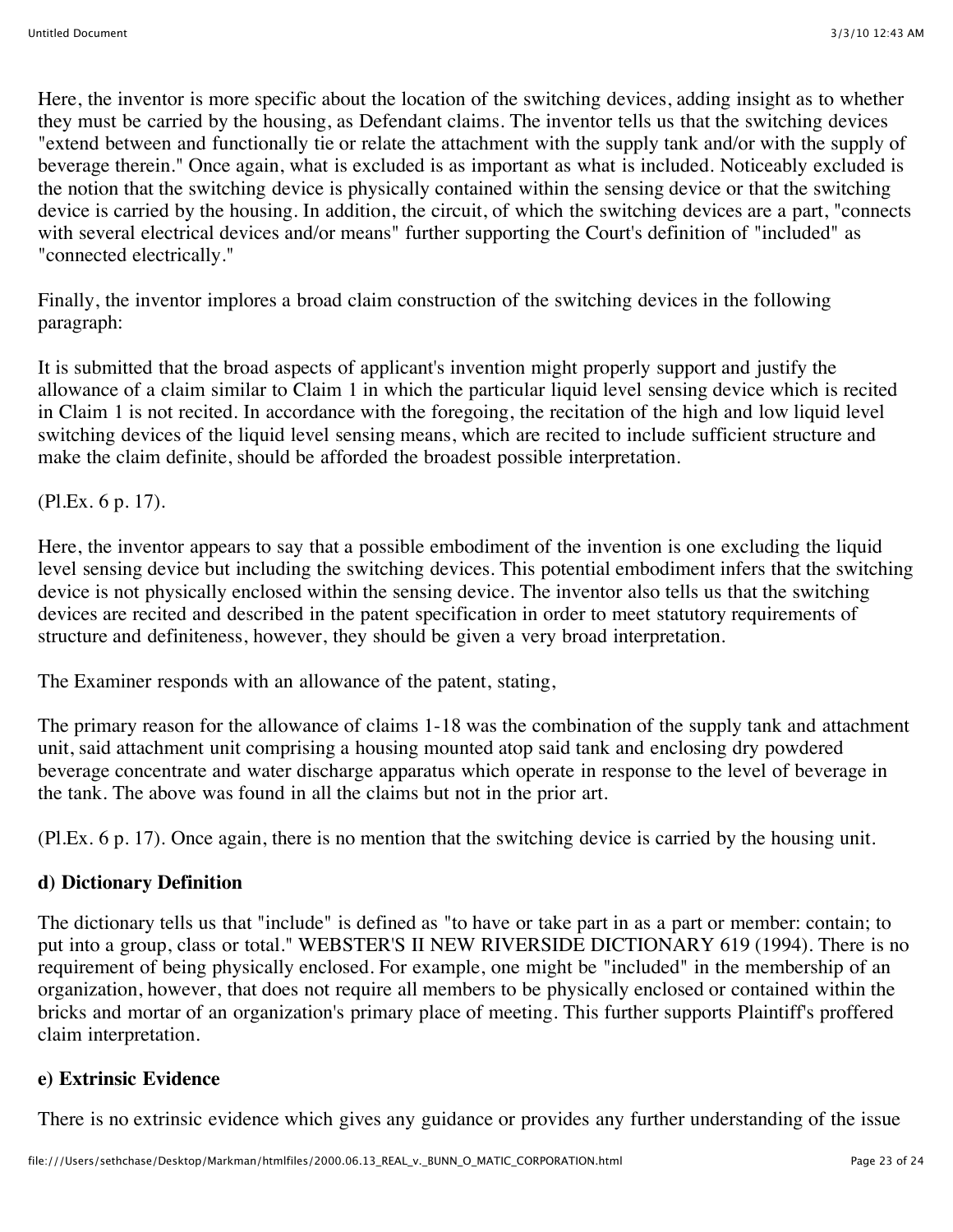Here, the inventor is more specific about the location of the switching devices, adding insight as to whether they must be carried by the housing, as Defendant claims. The inventor tells us that the switching devices "extend between and functionally tie or relate the attachment with the supply tank and/or with the supply of beverage therein." Once again, what is excluded is as important as what is included. Noticeably excluded is the notion that the switching device is physically contained within the sensing device or that the switching device is carried by the housing. In addition, the circuit, of which the switching devices are a part, "connects with several electrical devices and/or means" further supporting the Court's definition of "included" as "connected electrically."

Finally, the inventor implores a broad claim construction of the switching devices in the following paragraph:

It is submitted that the broad aspects of applicant's invention might properly support and justify the allowance of a claim similar to Claim 1 in which the particular liquid level sensing device which is recited in Claim 1 is not recited. In accordance with the foregoing, the recitation of the high and low liquid level switching devices of the liquid level sensing means, which are recited to include sufficient structure and make the claim definite, should be afforded the broadest possible interpretation.

(Pl.Ex. 6 p. 17).

Here, the inventor appears to say that a possible embodiment of the invention is one excluding the liquid level sensing device but including the switching devices. This potential embodiment infers that the switching device is not physically enclosed within the sensing device. The inventor also tells us that the switching devices are recited and described in the patent specification in order to meet statutory requirements of structure and definiteness, however, they should be given a very broad interpretation.

The Examiner responds with an allowance of the patent, stating,

The primary reason for the allowance of claims 1-18 was the combination of the supply tank and attachment unit, said attachment unit comprising a housing mounted atop said tank and enclosing dry powdered beverage concentrate and water discharge apparatus which operate in response to the level of beverage in the tank. The above was found in all the claims but not in the prior art.

(Pl.Ex. 6 p. 17). Once again, there is no mention that the switching device is carried by the housing unit.

## **d) Dictionary Definition**

The dictionary tells us that "include" is defined as "to have or take part in as a part or member: contain; to put into a group, class or total." WEBSTER'S II NEW RIVERSIDE DICTIONARY 619 (1994). There is no requirement of being physically enclosed. For example, one might be "included" in the membership of an organization, however, that does not require all members to be physically enclosed or contained within the bricks and mortar of an organization's primary place of meeting. This further supports Plaintiff's proffered claim interpretation.

## **e) Extrinsic Evidence**

There is no extrinsic evidence which gives any guidance or provides any further understanding of the issue